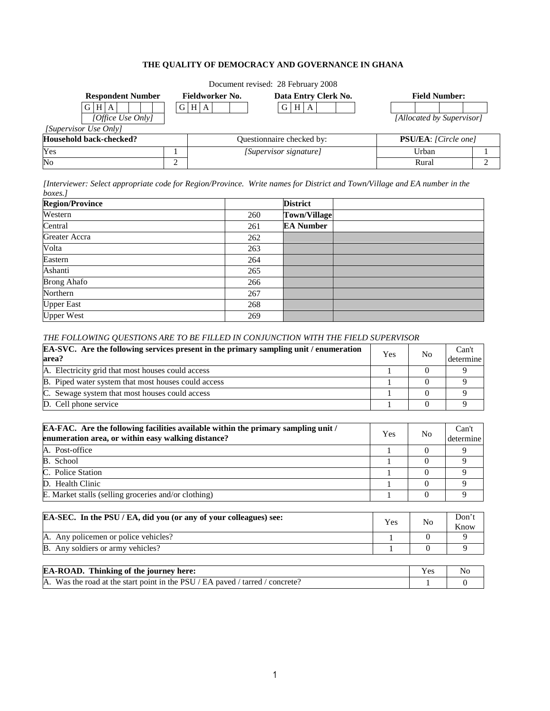# **THE QUALITY OF DEMOCRACY AND GOVERNANCE IN GHANA**

|                          |                 | Document revised: 28 February 2008 |                              |   |
|--------------------------|-----------------|------------------------------------|------------------------------|---|
| <b>Respondent Number</b> | Fieldworker No. | Data Entry Clerk No.               | <b>Field Number:</b>         |   |
| H A<br>G I               | GHA             | $G$   H  <br>A                     |                              |   |
| [Office Use Only]        |                 |                                    | [Allocated by Supervisor]    |   |
| [Supervisor Use Only]    |                 |                                    |                              |   |
| Household back-checked?  |                 | Questionnaire checked by:          | <b>PSU/EA</b> : [Circle one] |   |
| Yes                      |                 | [Supervisor signature]             | Urban                        |   |
| $\overline{\text{No}}$   |                 |                                    | Rural                        | ◠ |

*[Interviewer: Select appropriate code for Region/Province. Write names for District and Town/Village and EA number in the boxes.]* 

| <b>Region/Province</b> |     | <b>District</b>     |
|------------------------|-----|---------------------|
| Western                | 260 | <b>Town/Village</b> |
| Central                | 261 | <b>EA Number</b>    |
| Greater Accra          | 262 |                     |
| Volta                  | 263 |                     |
| Eastern                | 264 |                     |
| Ashanti                | 265 |                     |
| <b>Brong Ahafo</b>     | 266 |                     |
| Northern               | 267 |                     |
| <b>Upper East</b>      | 268 |                     |
| <b>Upper West</b>      | 269 |                     |

# *THE FOLLOWING QUESTIONS ARE TO BE FILLED IN CONJUNCTION WITH THE FIELD SUPERVISOR*

| <b>EA-SVC.</b> Are the following services present in the primary sampling unit / enumeration<br>area? |  | N <sub>0</sub> | Can't<br>determine |
|-------------------------------------------------------------------------------------------------------|--|----------------|--------------------|
| A. Electricity grid that most houses could access                                                     |  |                |                    |
| <b>B.</b> Piped water system that most houses could access                                            |  |                |                    |
| C. Sewage system that most houses could access                                                        |  |                |                    |
| D. Cell phone service                                                                                 |  |                |                    |

| EA-FAC. Are the following facilities available within the primary sampling unit /<br>enumeration area, or within easy walking distance? |  | N <sub>0</sub> | Can't<br>determine |
|-----------------------------------------------------------------------------------------------------------------------------------------|--|----------------|--------------------|
| A. Post-office                                                                                                                          |  |                |                    |
| B. School                                                                                                                               |  |                |                    |
| C. Police Station                                                                                                                       |  |                |                    |
| D. Health Clinic                                                                                                                        |  |                |                    |
| E. Market stalls (selling groceries and/or clothing)                                                                                    |  |                |                    |

| EA-SEC. In the PSU/EA, did you (or any of your colleagues) see: | Yes | N <sub>0</sub> | Don't<br>Know |
|-----------------------------------------------------------------|-----|----------------|---------------|
| A. Any policemen or police vehicles?                            |     |                |               |
| <b>B.</b> Any soldiers or army vehicles?                        |     |                |               |

| <b>EA-ROAD.</b> Thinking of the journey here:                                 |  | No |
|-------------------------------------------------------------------------------|--|----|
| A. Was the road at the start point in the PSU / EA paved / tarred / concrete? |  |    |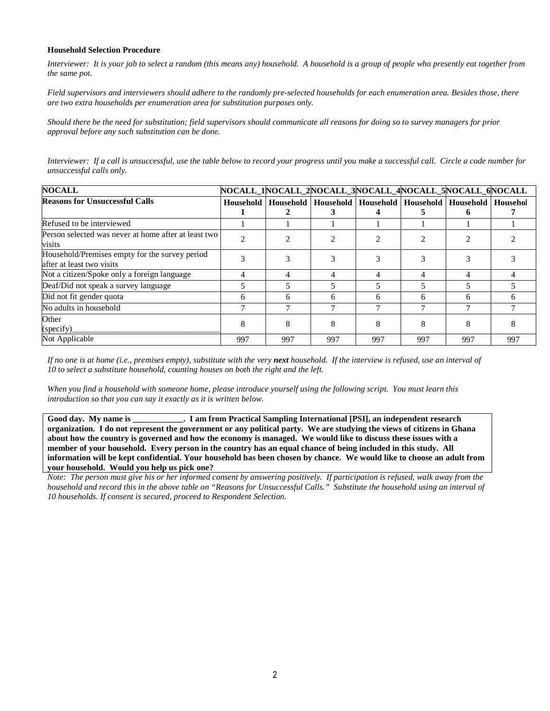#### **Household Selection Procedure**

*Interviewer: It is your job to select a random (this means any) household. A household is a group of people who presently eat together from the same pot.* 

*Field supervisors and interviewers should adhere to the randomly pre-selected households for each enumeration area. Besides those, there are two extra households per enumeration area for substitution purposes only.* 

*Should there be the need for substitution; field supervisors should communicate all reasons for doing so to survey managers for prior approval before any such substitution can be done.* 

*Interviewer: If a call is unsuccessful, use the table below to record your progress until you make a successful call. Circle a code number for unsuccessful calls only.* 

| <b>NOCALL</b>                                                               | NOCALL_1NOCALL_2NOCALL_3NOCALL_4NOCALL_5NOCALL_6NOCALL |     |     |                                                                                  |     |     |     |
|-----------------------------------------------------------------------------|--------------------------------------------------------|-----|-----|----------------------------------------------------------------------------------|-----|-----|-----|
| <b>Reasons for Unsuccessful Calls</b>                                       |                                                        |     |     | Household   Household   Household   Household   Household   Household   Househol |     |     |     |
|                                                                             |                                                        |     |     |                                                                                  |     |     |     |
| Refused to be interviewed                                                   |                                                        |     |     |                                                                                  |     |     |     |
| Person selected was never at home after at least two<br>visits              | $\mathcal{D}$                                          |     |     |                                                                                  |     |     |     |
| Household/Premises empty for the survey period<br>after at least two visits |                                                        |     |     |                                                                                  |     |     |     |
| Not a citizen/Spoke only a foreign language                                 | 4                                                      |     |     |                                                                                  |     | 4   |     |
| Deaf/Did not speak a survey language                                        |                                                        |     |     |                                                                                  |     |     |     |
| Did not fit gender quota                                                    | 6                                                      | 6   | 6   | 6                                                                                | 6   | 6   | h   |
| No adults in household                                                      |                                                        |     |     |                                                                                  |     |     |     |
| Other<br>(specify)                                                          | 8                                                      | 8   | 8   |                                                                                  | 8   |     |     |
| Not Applicable                                                              | 997                                                    | 997 | 997 | 997                                                                              | 997 | 997 | 997 |

*If no one is at home (i.e., premises empty), substitute with the very next household. If the interview is refused, use an interval of 10 to select a substitute household, counting houses on both the right and the left.* 

*When you find a household with someone home, please introduce yourself using the following script. You must learn this introduction so that you can say it exactly as it is written below.* 

**Good day. My name is \_\_\_\_\_\_\_\_\_\_\_\_. I am from Practical Sampling International [PSI], an independent research organization. I do not represent the government or any political party. We are studying the views of citizens in Ghana about how the country is governed and how the economy is managed. We would like to discuss these issues with a member of your household. Every person in the country has an equal chance of being included in this study. All information will be kept confidential. Your household has been chosen by chance. We would like to choose an adult from your household. Would you help us pick one?**

*Note: The person must give his or her informed consent by answering positively. If participation is refused, walk away from the household and record this in the above table on "Reasons for Unsuccessful Calls." Substitute the household using an interval of 10 households. If consent is secured, proceed to Respondent Selection.*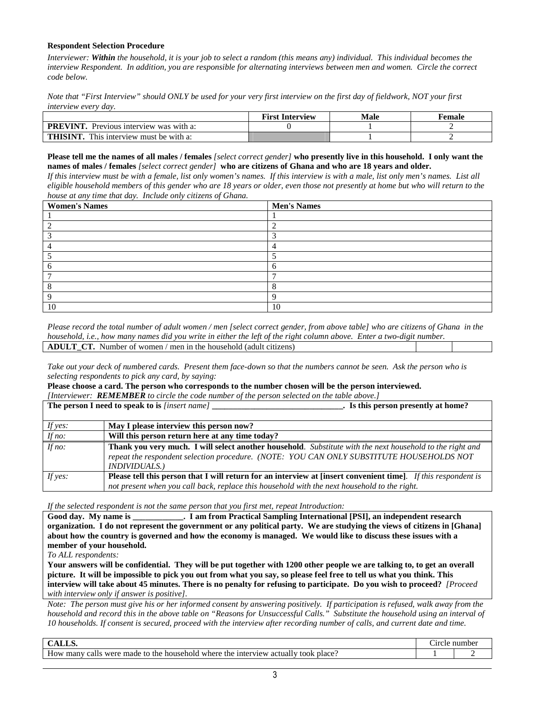#### **Respondent Selection Procedure**

*Interviewer: Within the household, it is your job to select a random (this means any) individual. This individual becomes the interview Respondent. In addition, you are responsible for alternating interviews between men and women. Circle the correct code below.* 

*Note that "First Interview" should ONLY be used for your very first interview on the first day of fieldwork, NOT your first interview every day.* 

|                                                  | <b>First Interview</b> | <b>Male</b> | †emale |
|--------------------------------------------------|------------------------|-------------|--------|
| <b>PREVINT</b><br>Previous interview was with a: |                        |             |        |
| THISINT.<br>This interview must be with a:       |                        |             |        |

**Please tell me the names of all males / females** *[select correct gender]* **who presently live in this household. I only want the names of males / females** *[select correct gender]* **who are citizens of Ghana and who are 18 years and older.**

*If this interview must be with a female, list only women's names. If this interview is with a male, list only men's names. List all eligible household members of this gender who are 18 years or older, even those not presently at home but who will return to the house at any time that day. Include only citizens of Ghana.* 

| <b>Women's Names</b> | <b>Men's Names</b> |
|----------------------|--------------------|
|                      |                    |
|                      |                    |
|                      |                    |
|                      |                    |
|                      |                    |
|                      |                    |
|                      | −                  |
|                      |                    |
| $\Omega$             |                    |
| 10                   | 10                 |

*Please record the total number of adult women / men [select correct gender, from above table] who are citizens of Ghana in the household, i.e., how many names did you write in either the left of the right column above. Enter a two-digit number.* **ADULT\_CT.** Number of women / men in the household (adult citizens)

*Take out your deck of numbered cards. Present them face-down so that the numbers cannot be seen. Ask the person who is selecting respondents to pick any card, by saying:* 

**Please choose a card. The person who corresponds to the number chosen will be the person interviewed.** 

|          | [Interviewer: <b>REMEMBER</b> to circle the code number of the person selected on the table above.]            |
|----------|----------------------------------------------------------------------------------------------------------------|
|          | The person I need to speak to is [insert name]<br>. Is this person presently at home?                          |
|          |                                                                                                                |
| If yes:  | May I please interview this person now?                                                                        |
| If $no:$ | Will this person return here at any time today?                                                                |
| If $no:$ | Thank you very much. I will select another household. Substitute with the next household to the right and      |
|          | repeat the respondent selection procedure. (NOTE: YOU CAN ONLY SUBSTITUTE HOUSEHOLDS NOT                       |
|          | <b>INDIVIDUALS.)</b>                                                                                           |
| If yes:  | Please tell this person that I will return for an interview at [insert convenient time]. If this respondent is |
|          | not present when you call back, replace this household with the next household to the right.                   |

*If the selected respondent is not the same person that you first met, repeat Introduction:* 

**Good day. My name is \_\_\_\_\_\_\_\_\_\_\_\_. I am from Practical Sampling International [PSI], an independent research organization. I do not represent the government or any political party. We are studying the views of citizens in [Ghana] about how the country is governed and how the economy is managed. We would like to discuss these issues with a member of your household.** 

*To ALL respondents:* 

**Your answers will be confidential. They will be put together with 1200 other people we are talking to, to get an overall picture. It will be impossible to pick you out from what you say, so please feel free to tell us what you think. This interview will take about 45 minutes. There is no penalty for refusing to participate. Do you wish to proceed?** *[Proceed with interview only if answer is positive].* 

*Note: The person must give his or her informed consent by answering positively. If participation is refused, walk away from the household and record this in the above table on "Reasons for Unsuccessful Calls." Substitute the household using an interval of 10 households. If consent is secured, proceed with the interview after recording number of calls, and current date and time.*

| $   -$<br>$\cdots$                                                                                                                       |  | $\sim$<br>$-1.0$<br>ı٣ |  |
|------------------------------------------------------------------------------------------------------------------------------------------|--|------------------------|--|
| How<br>took place:<br>1 where<br>the.<br>made<br>household<br>many<br>WPTP<br>™nte.<br>actually<br>the.<br>terview<br>calls<br>$+ -$<br> |  |                        |  |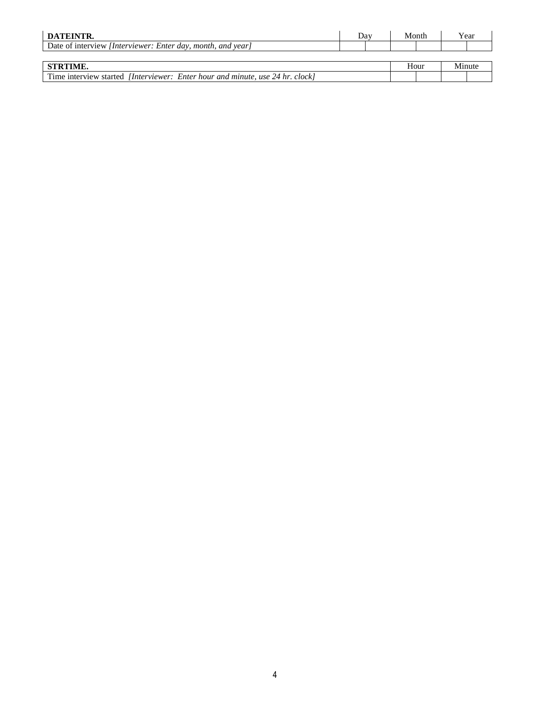| DATEINTR.                                                                            | Dav. | Month |        | Year |
|--------------------------------------------------------------------------------------|------|-------|--------|------|
| Date of interview <i>[Interviewer: Enter day, month, and year]</i>                   |      |       |        |      |
|                                                                                      |      |       |        |      |
| <b>STRTIME.</b>                                                                      |      | Hour  | Minute |      |
| Time interview started <i>[Interviewer: Enter hour and minute, use 24 hr. clock]</i> |      |       |        |      |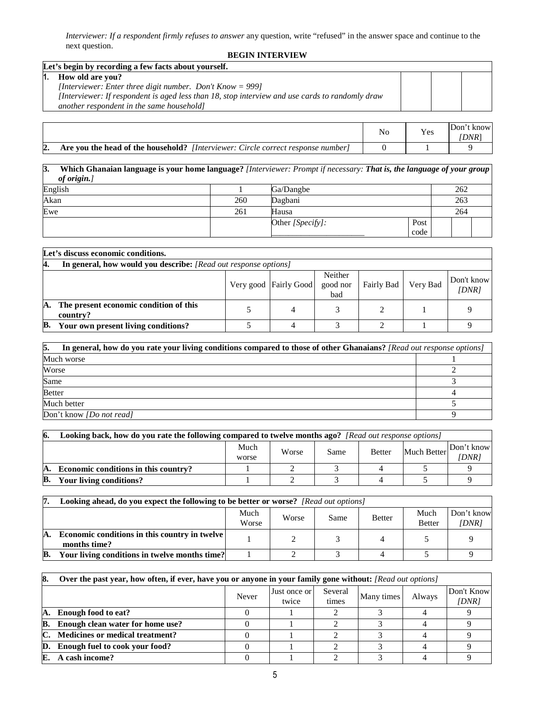*Interviewer: If a respondent firmly refuses to answer* any question, write "refused" in the answer space and continue to the next question.

#### **BEGIN INTERVIEW**

|    | Let's begin by recording a few facts about yourself.                                            |  |  |
|----|-------------------------------------------------------------------------------------------------|--|--|
| И. | How old are you?                                                                                |  |  |
|    | [Interviewer: Enter three digit number. Don't Know = 999]                                       |  |  |
|    | [Interviewer: If respondent is aged less than 18, stop interview and use cards to randomly draw |  |  |
|    | another respondent in the same household]                                                       |  |  |
|    |                                                                                                 |  |  |

|    |                                                                                         | Yes | Don't<br>know<br>DNR) |
|----|-----------------------------------------------------------------------------------------|-----|-----------------------|
| 2. | <b>Are you the head of the household?</b> [Interviewer: Circle correct response number] |     |                       |

# **3. Which Ghanaian language is your home language?** *[Interviewer: Prompt if necessary: That is, the language of your group of origin.]*

| English |     | Ga/Dangbe        |              | 262 |  |
|---------|-----|------------------|--------------|-----|--|
| Akan    | 260 | Dagbani          |              | 263 |  |
| Ewe     | 261 | Hausa            |              | 264 |  |
|         |     | Other [Specify]: | Post<br>code |     |  |

|                                                                                                      | Let's discuss economic conditions.                              |  |   |  |  |  |  |  |  |  |
|------------------------------------------------------------------------------------------------------|-----------------------------------------------------------------|--|---|--|--|--|--|--|--|--|
| Α.                                                                                                   | In general, how would you describe: [Read out response options] |  |   |  |  |  |  |  |  |  |
| Neither<br>Don't know<br>Very Bad<br>Fairly Bad<br>good nor<br>Very good Fairly Good<br>[DNR]<br>bad |                                                                 |  |   |  |  |  |  |  |  |  |
| А.                                                                                                   | The present economic condition of this<br>country?              |  | 4 |  |  |  |  |  |  |  |
| B.                                                                                                   | Your own present living conditions?                             |  |   |  |  |  |  |  |  |  |

| 5.<br>In general, how do you rate your living conditions compared to those of other Ghanaians? [Read out response options] |  |  |  |  |  |
|----------------------------------------------------------------------------------------------------------------------------|--|--|--|--|--|
| Much worse                                                                                                                 |  |  |  |  |  |
| Worse                                                                                                                      |  |  |  |  |  |
| Same                                                                                                                       |  |  |  |  |  |
| <b>Better</b>                                                                                                              |  |  |  |  |  |
| Much better                                                                                                                |  |  |  |  |  |
| Don't know <i>[Do not read]</i>                                                                                            |  |  |  |  |  |

| 6. | Looking back, how do you rate the following compared to twelve months ago? [Read out response options] |  |  |  |  |  |  |  |  |  |  |  |
|----|--------------------------------------------------------------------------------------------------------|--|--|--|--|--|--|--|--|--|--|--|
|    | Much<br>Don't know<br><b>Much Better</b><br>Worse<br>Same<br><b>Better</b><br>DNR1<br>worse            |  |  |  |  |  |  |  |  |  |  |  |
| А. | Economic conditions in this country?                                                                   |  |  |  |  |  |  |  |  |  |  |  |
| B. | Your living conditions?                                                                                |  |  |  |  |  |  |  |  |  |  |  |

|    | <b>Looking ahead, do you expect the following to be better or worse?</b> [Read out options] |               |       |      |               |                       |                     |
|----|---------------------------------------------------------------------------------------------|---------------|-------|------|---------------|-----------------------|---------------------|
|    |                                                                                             | Much<br>Worse | Worse | Same | <b>Better</b> | Much<br><b>Better</b> | Don't know<br>DNR 1 |
| А. | Economic conditions in this country in twelve  <br>months time?                             |               |       |      |               |                       |                     |
| B. | Your living conditions in twelve months time?                                               |               |       |      |               |                       |                     |

| 8. | Over the past year, how often, if ever, have you or anyone in your family gone without: [Read out options] |       |                       |                  |            |        |                     |  |  |
|----|------------------------------------------------------------------------------------------------------------|-------|-----------------------|------------------|------------|--------|---------------------|--|--|
|    |                                                                                                            | Never | Just once or<br>twice | Several<br>times | Many times | Always | Don't Know<br>[DNR] |  |  |
| А. | <b>Enough food to eat?</b>                                                                                 |       |                       |                  |            |        |                     |  |  |
| В. | Enough clean water for home use?                                                                           |       |                       |                  |            |        |                     |  |  |
| C. | <b>Medicines or medical treatment?</b>                                                                     |       |                       |                  |            |        |                     |  |  |
| D. | Enough fuel to cook your food?                                                                             |       |                       |                  |            |        |                     |  |  |
| Е. | A cash income?                                                                                             |       |                       |                  |            |        |                     |  |  |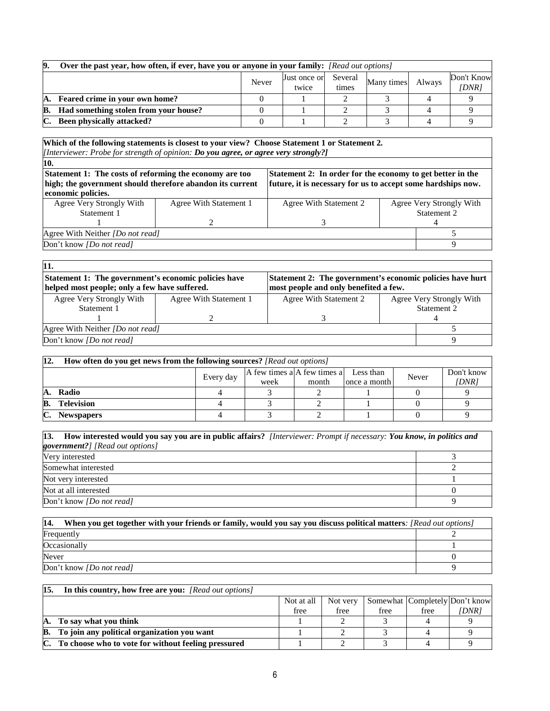| 9. | Over the past year, how often, if ever, have you or anyone in your family: [Read out options] |       |                       |                  |            |        |                     |  |  |  |  |
|----|-----------------------------------------------------------------------------------------------|-------|-----------------------|------------------|------------|--------|---------------------|--|--|--|--|
|    |                                                                                               | Never | Just once or<br>twice | Several<br>times | Many times | Always | Don't Know<br>DNR 1 |  |  |  |  |
|    | A. Feared crime in your own home?                                                             |       |                       |                  |            |        |                     |  |  |  |  |
|    | <b>B.</b> Had something stolen from your house?                                               |       |                       |                  |            |        |                     |  |  |  |  |
| C. | <b>Been physically attacked?</b>                                                              |       |                       |                  |            |        |                     |  |  |  |  |

#### **Which of the following statements is closest to your view? Choose Statement 1 or Statement 2.**  *[Interviewer: Probe for strength of opinion: Do you agree, or agree very strongly?]*

| Statement 1: The costs of reforming the economy are too   |                        | Statement 2: In order for the economy to get better in the   |                          |  |  |
|-----------------------------------------------------------|------------------------|--------------------------------------------------------------|--------------------------|--|--|
| high; the government should therefore abandon its current |                        | future, it is necessary for us to accept some hardships now. |                          |  |  |
| economic policies.                                        |                        |                                                              |                          |  |  |
| Agree Very Strongly With                                  | Agree With Statement 1 | Agree With Statement 2                                       | Agree Very Strongly With |  |  |
| Statement 1                                               |                        |                                                              | Statement 2              |  |  |
|                                                           |                        |                                                              |                          |  |  |
| Agree With Neither <i>[Do not read]</i>                   |                        |                                                              |                          |  |  |
| Don't know <i>[Do not read]</i>                           |                        |                                                              | Q                        |  |  |

| 11.                                                                                                                                                                                                         |                        |                        |  |                          |  |
|-------------------------------------------------------------------------------------------------------------------------------------------------------------------------------------------------------------|------------------------|------------------------|--|--------------------------|--|
| Statement 2: The government's economic policies have hurt<br>Statement 1: The government's economic policies have<br>helped most people; only a few have suffered.<br>most people and only benefited a few. |                        |                        |  |                          |  |
| Agree Very Strongly With                                                                                                                                                                                    | Agree With Statement 1 | Agree With Statement 2 |  | Agree Very Strongly With |  |
| Statement 1                                                                                                                                                                                                 |                        |                        |  | Statement 2              |  |
|                                                                                                                                                                                                             |                        |                        |  |                          |  |
| Agree With Neither <i>[Do not read]</i>                                                                                                                                                                     |                        |                        |  |                          |  |
| Don't know [Do not read]                                                                                                                                                                                    |                        |                        |  |                          |  |

| 12.            | How often do you get news from the following sources? [Read out options] |           |                               |       |              |       |            |  |  |  |  |
|----------------|--------------------------------------------------------------------------|-----------|-------------------------------|-------|--------------|-------|------------|--|--|--|--|
|                |                                                                          | Every day | $A$ few times a A few times a |       | Less than    | Never | Don't know |  |  |  |  |
|                |                                                                          |           | week                          | month | once a month |       | [DNR]      |  |  |  |  |
| А.             | Radio                                                                    |           |                               |       |              |       |            |  |  |  |  |
| B.             | <b>Television</b>                                                        |           |                               |       |              |       |            |  |  |  |  |
| $\mathbf{C}$ . | <b>Newspapers</b>                                                        |           |                               |       |              |       |            |  |  |  |  |

| [13. How interested would you say you are in public affairs? [Interviewer: Prompt if necessary: You know, in politics and |  |
|---------------------------------------------------------------------------------------------------------------------------|--|
| <b>government?</b> ] [Read out options]                                                                                   |  |
| Very interested                                                                                                           |  |
| Somewhat interested                                                                                                       |  |
| Not very interested                                                                                                       |  |
| Not at all interested                                                                                                     |  |
| Don't know <i>[Do not read]</i>                                                                                           |  |

| 14.<br>When you get together with your friends or family, would you say you discuss political matters: [Read out options] |  |  |  |  |
|---------------------------------------------------------------------------------------------------------------------------|--|--|--|--|
| Frequently                                                                                                                |  |  |  |  |
| Occasionally                                                                                                              |  |  |  |  |
| Never                                                                                                                     |  |  |  |  |
| Don't know <i>[Do not read]</i>                                                                                           |  |  |  |  |

# **15. In this country, how free are you:** *[Read out options]*

|    |                                                     | Not at all | Not very |      |      | Somewhat Completely Don't know |
|----|-----------------------------------------------------|------------|----------|------|------|--------------------------------|
|    |                                                     | free       | free     | free | free | DNR 1                          |
| А. | To say what you think                               |            |          |      |      |                                |
| В. | To join any political organization you want         |            |          |      |      |                                |
| C. | To choose who to vote for without feeling pressured |            |          |      |      |                                |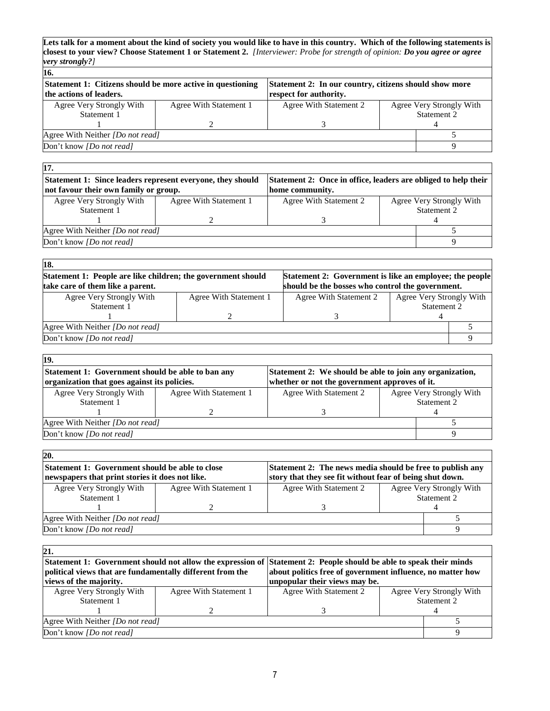**Lets talk for a moment about the kind of society you would like to have in this country. Which of the following statements is closest to your view? Choose Statement 1 or Statement 2.** *[Interviewer: Probe for strength of opinion: Do you agree or agree very strongly?]*

| Statement 1: Citizens should be more active in questioning | Statement 2: In our country, citizens should show more |  |                          |  |  |
|------------------------------------------------------------|--------------------------------------------------------|--|--------------------------|--|--|
|                                                            | respect for authority.                                 |  |                          |  |  |
| Agree With Statement 1                                     | Agree With Statement 2                                 |  | Agree Very Strongly With |  |  |
|                                                            |                                                        |  | Statement 2              |  |  |
|                                                            |                                                        |  |                          |  |  |
| Agree With Neither <i>[Do not read]</i>                    |                                                        |  |                          |  |  |
|                                                            |                                                        |  |                          |  |  |
|                                                            |                                                        |  |                          |  |  |

| 17.                                                        |                        |                                                                |  |                          |  |  |
|------------------------------------------------------------|------------------------|----------------------------------------------------------------|--|--------------------------|--|--|
| Statement 1: Since leaders represent everyone, they should |                        | Statement 2: Once in office, leaders are obliged to help their |  |                          |  |  |
| not favour their own family or group.                      |                        | home community.                                                |  |                          |  |  |
| Agree Very Strongly With                                   | Agree With Statement 1 | Agree With Statement 2                                         |  | Agree Very Strongly With |  |  |
| Statement 1                                                |                        |                                                                |  | Statement 2              |  |  |
|                                                            |                        |                                                                |  |                          |  |  |
| Agree With Neither <i>[Do not read]</i>                    |                        |                                                                |  |                          |  |  |
| Don't know <i>[Do not read]</i>                            |                        |                                                                |  |                          |  |  |
|                                                            |                        |                                                                |  |                          |  |  |

| 18.                                                                                  |                                                         |                        |                          |  |
|--------------------------------------------------------------------------------------|---------------------------------------------------------|------------------------|--------------------------|--|
| Statement 1: People are like children; the government should                         | Statement 2: Government is like an employee; the people |                        |                          |  |
| should be the bosses who control the government.<br>take care of them like a parent. |                                                         |                        |                          |  |
| Agree Very Strongly With                                                             | Agree With Statement 1                                  | Agree With Statement 2 | Agree Very Strongly With |  |
| Statement 1                                                                          |                                                         |                        | Statement 2              |  |
|                                                                                      |                                                         |                        |                          |  |
| Agree With Neither [Do not read]                                                     |                                                         |                        |                          |  |
| Don't know <i>[Do not read]</i>                                                      |                                                         |                        |                          |  |

| 19.                                                                                                           |                        |                        |  |                          |  |  |
|---------------------------------------------------------------------------------------------------------------|------------------------|------------------------|--|--------------------------|--|--|
| Statement 1: Government should be able to ban any<br>Statement 2: We should be able to join any organization, |                        |                        |  |                          |  |  |
| organization that goes against its policies.<br>whether or not the government approves of it.                 |                        |                        |  |                          |  |  |
| Agree Very Strongly With                                                                                      | Agree With Statement 1 | Agree With Statement 2 |  | Agree Very Strongly With |  |  |
| Statement 1                                                                                                   |                        |                        |  | Statement 2              |  |  |
|                                                                                                               |                        |                        |  |                          |  |  |
| Agree With Neither <i>[Do not read]</i>                                                                       |                        |                        |  |                          |  |  |
| Don't know [Do not read]                                                                                      |                        |                        |  |                          |  |  |

| 20.                                                                                                         |                        |                                                           |  |                          |  |  |
|-------------------------------------------------------------------------------------------------------------|------------------------|-----------------------------------------------------------|--|--------------------------|--|--|
| Statement 1: Government should be able to close                                                             |                        | Statement 2: The news media should be free to publish any |  |                          |  |  |
| story that they see fit without fear of being shut down.<br>newspapers that print stories it does not like. |                        |                                                           |  |                          |  |  |
| Agree Very Strongly With                                                                                    | Agree With Statement 1 | Agree With Statement 2                                    |  | Agree Very Strongly With |  |  |
| Statement 1                                                                                                 |                        |                                                           |  | Statement 2              |  |  |
|                                                                                                             |                        |                                                           |  |                          |  |  |
| Agree With Neither <i>[Do not read]</i>                                                                     |                        |                                                           |  |                          |  |  |
| Don't know [Do not read]                                                                                    |                        |                                                           |  |                          |  |  |

| 21.                                                       |                        |                                                                                                                    |  |                          |  |
|-----------------------------------------------------------|------------------------|--------------------------------------------------------------------------------------------------------------------|--|--------------------------|--|
|                                                           |                        | Statement 1: Government should not allow the expression of Statement 2: People should be able to speak their minds |  |                          |  |
| political views that are fundamentally different from the |                        | about politics free of government influence, no matter how                                                         |  |                          |  |
| views of the majority.                                    |                        | unpopular their views may be.                                                                                      |  |                          |  |
| Agree Very Strongly With                                  | Agree With Statement 1 | Agree With Statement 2                                                                                             |  | Agree Very Strongly With |  |
| Statement 1                                               |                        |                                                                                                                    |  | Statement 2              |  |
|                                                           |                        |                                                                                                                    |  |                          |  |
| Agree With Neither <i>[Do not read]</i>                   |                        |                                                                                                                    |  |                          |  |
| Don't know [Do not read]                                  |                        |                                                                                                                    |  |                          |  |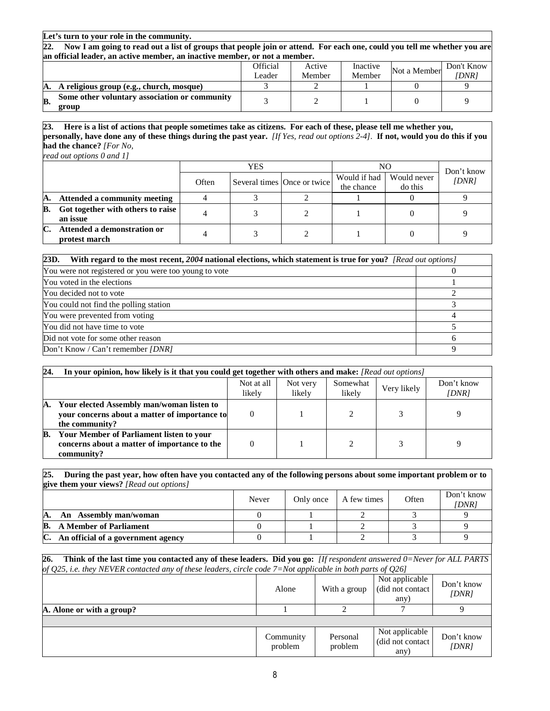#### **Let's turn to your role in the community.**

**22. Now I am going to read out a list of groups that people join or attend. For each one, could you tell me whether you are an official leader, an active member, an inactive member, or not a member.** 

|    |                                               | Official | Active | Inactive | Not a Member | Don't Know |
|----|-----------------------------------------------|----------|--------|----------|--------------|------------|
|    |                                               | eader    | Member | Member   |              | [DNR]      |
| A. | A religious group (e.g., church, mosque)      |          |        |          |              |            |
| B  | Some other voluntary association or community |          |        |          |              |            |
|    | group                                         |          |        |          |              |            |

**23. Here is a list of actions that people sometimes take as citizens. For each of these, please tell me whether you, personally, have done any of these things during the past year.** *[If Yes, read out options 2-4].* **If not, would you do this if you had the chance?** *[For No,* 

*read out options 0 and 1]* 

|    |                                               | <b>YES</b> |  |                             | NO                         | Don't know             |       |  |
|----|-----------------------------------------------|------------|--|-----------------------------|----------------------------|------------------------|-------|--|
|    |                                               | Often      |  | Several times Once or twice | Would if had<br>the chance | Would never<br>do this | (DNR) |  |
| А. | <b>Attended a community meeting</b>           |            |  |                             |                            |                        |       |  |
| B. | Got together with others to raise<br>an issue |            |  |                             |                            |                        |       |  |
| C. | Attended a demonstration or<br>protest march  |            |  |                             |                            |                        |       |  |

| 23D.<br>With regard to the most recent, 2004 national elections, which statement is true for you? [Read out options] |   |
|----------------------------------------------------------------------------------------------------------------------|---|
| You were not registered or you were too young to vote                                                                |   |
| You voted in the elections                                                                                           |   |
| You decided not to vote                                                                                              |   |
| You could not find the polling station                                                                               |   |
| You were prevented from voting                                                                                       |   |
| You did not have time to vote                                                                                        |   |
| Did not vote for some other reason                                                                                   | h |
| Don't Know / Can't remember <i>[DNR]</i>                                                                             |   |

| 24. | In your opinion, how likely is it that you could get together with others and make: [Read out options]        |                      |                    |                    |             |                     |  |  |
|-----|---------------------------------------------------------------------------------------------------------------|----------------------|--------------------|--------------------|-------------|---------------------|--|--|
|     |                                                                                                               | Not at all<br>likely | Not very<br>likely | Somewhat<br>likely | Very likely | Don't know<br>[DNR] |  |  |
| А.  | Your elected Assembly man/woman listen to<br>vour concerns about a matter of importance to<br>the community?  |                      |                    |                    | 3           |                     |  |  |
| В.  | <b>Your Member of Parliament listen to your</b><br>concerns about a matter of importance to the<br>community? |                      |                    |                    |             |                     |  |  |

#### **25. During the past year, how often have you contacted any of the following persons about some important problem or to give them your views?** *[Read out options]*

|                                     | Never | Only once | A few times | Often | Don't know<br>[DNR] |
|-------------------------------------|-------|-----------|-------------|-------|---------------------|
| An Assembly man/woman<br>A.         |       |           |             |       |                     |
| B.<br><b>A Member of Parliament</b> |       |           |             |       |                     |
| An official of a government agency  |       |           |             |       |                     |

**26. Think of the last time you contacted any of these leaders. Did you go:** *[If respondent answered 0=Never for ALL PARTS of Q25, i.e. they NEVER contacted any of these leaders, circle code 7=Not applicable in both parts of Q26]*

|                           | Alone                | With a group        | Not applicable<br>(did not contact)<br>any) | Don't know<br>(DNR) |
|---------------------------|----------------------|---------------------|---------------------------------------------|---------------------|
| A. Alone or with a group? |                      |                     |                                             |                     |
|                           |                      |                     |                                             |                     |
|                           | Community<br>problem | Personal<br>problem | Not applicable<br>(did not contact)<br>any) | Don't know<br>(DNR) |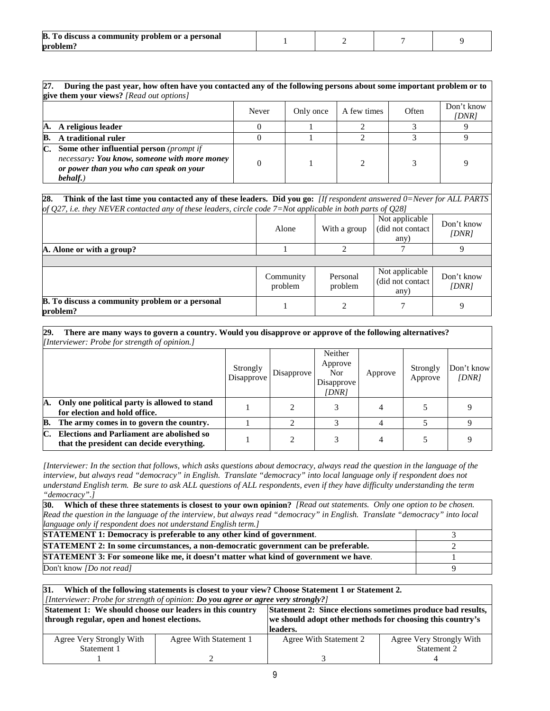| <b>B.</b> To discuss a community problem or a personal |  |  |
|--------------------------------------------------------|--|--|
| problem'.                                              |  |  |

| 27. | During the past year, how often have you contacted any of the following persons about some important problem or to<br>give them your views? [Read out options] |       |           |             |       |                     |  |
|-----|----------------------------------------------------------------------------------------------------------------------------------------------------------------|-------|-----------|-------------|-------|---------------------|--|
|     |                                                                                                                                                                | Never | Only once | A few times | Often | Don't know<br>[DNR] |  |
| A.  | A religious leader                                                                                                                                             |       |           |             |       |                     |  |
| B.  | A traditional ruler                                                                                                                                            |       |           |             |       |                     |  |
| C.  | Some other influential person (prompt if<br>necessary: You know, someone with more money<br>or power than you who can speak on your<br>behalf.)                |       |           |             |       |                     |  |

# **27. During the past year, how often have you contacted any of the following persons about some important problem or to**

#### **28. Think of the last time you contacted any of these leaders. Did you go:** *[If respondent answered 0=Never for ALL PARTS of Q27, i.e. they NEVER contacted any of these leaders, circle code 7=Not applicable in both parts of Q28]*

| $\overline{J}$ and $\overline{J}$ and $\overline{J}$               | Alone                | With a group        | <u>J 2019 - J 1</u><br>Not applicable<br>(did not contact<br>any) | Don't know<br>(DNR) |
|--------------------------------------------------------------------|----------------------|---------------------|-------------------------------------------------------------------|---------------------|
| A. Alone or with a group?                                          |                      |                     |                                                                   | 9                   |
|                                                                    |                      |                     |                                                                   |                     |
|                                                                    | Community<br>problem | Personal<br>problem | Not applicable<br>(did not contact)<br>any)                       | Don't know<br>[DNR] |
| <b>B.</b> To discuss a community problem or a personal<br>problem? |                      |                     |                                                                   | 9                   |

**29. There are many ways to govern a country. Would you disapprove or approve of the following alternatives?**  *[Interviewer: Probe for strength of opinion.]*

|    |                                                                                               | Strongly<br>Disapprove | Disapprove | Neither<br>Approve<br>Nor.<br>Disapprove<br>[DNR] | Approve        | Strongly<br>Approve | Don't know<br>IDNR |
|----|-----------------------------------------------------------------------------------------------|------------------------|------------|---------------------------------------------------|----------------|---------------------|--------------------|
| А. | Only one political party is allowed to stand<br>for election and hold office.                 |                        |            |                                                   |                |                     |                    |
| B. | The army comes in to govern the country.                                                      |                        | ◠          |                                                   |                |                     |                    |
|    | <b>Elections and Parliament are abolished so</b><br>that the president can decide everything. |                        | ◠          |                                                   | $\overline{4}$ |                     |                    |

*[Interviewer: In the section that follows, which asks questions about democracy, always read the question in the language of the interview, but always read "democracy" in English. Translate "democracy" into local language only if respondent does not understand English term. Be sure to ask ALL questions of ALL respondents, even if they have difficulty understanding the term "democracy".]* 

| 30. Which of these three statements is closest to your own opinion? [Read out statements. Only one option to be chosen.      |  |  |  |  |
|------------------------------------------------------------------------------------------------------------------------------|--|--|--|--|
| Read the question in the language of the interview, but always read "democracy" in English. Translate "democracy" into local |  |  |  |  |
| language only if respondent does not understand English term.]                                                               |  |  |  |  |
| <b>STATEMENT 1: Democracy is preferable to any other kind of government.</b>                                                 |  |  |  |  |
| <b>STATEMENT 2: In some circumstances, a non-democratic government can be preferable.</b>                                    |  |  |  |  |
| STATEMENT 3: For someone like me, it doesn't matter what kind of government we have.                                         |  |  |  |  |
| Don't know <i>[Do not read]</i>                                                                                              |  |  |  |  |

#### **31. Which of the following statements is closest to your view? Choose Statement 1 or Statement 2.**  *[Interviewer: Probe for strength of opinion: Do you agree or agree very strongly?]*

| Statement 1: We should choose our leaders in this country<br>through regular, open and honest elections. |                        | Statement 2: Since elections sometimes produce bad results,<br>we should adopt other methods for choosing this country's<br>leaders. |                          |  |  |
|----------------------------------------------------------------------------------------------------------|------------------------|--------------------------------------------------------------------------------------------------------------------------------------|--------------------------|--|--|
| Agree Very Strongly With                                                                                 | Agree With Statement 1 | Agree With Statement 2                                                                                                               | Agree Very Strongly With |  |  |
| Statement 1                                                                                              |                        |                                                                                                                                      | Statement 2              |  |  |
|                                                                                                          |                        |                                                                                                                                      |                          |  |  |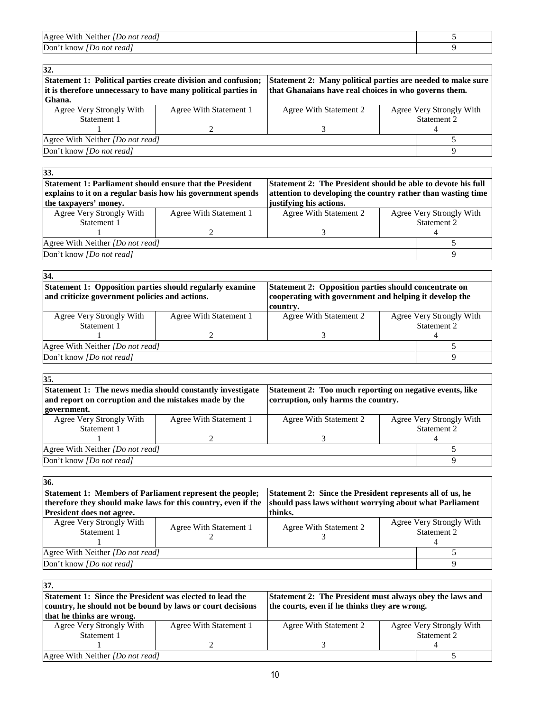| Agree With Neither<br><i>IDo not readl</i> |  |
|--------------------------------------------|--|
| Don't know<br>Do not read                  |  |

| 32.                                                                                                                            |                                                                                                                      |                        |  |                          |
|--------------------------------------------------------------------------------------------------------------------------------|----------------------------------------------------------------------------------------------------------------------|------------------------|--|--------------------------|
| Statement 1: Political parties create division and confusion;<br>it is therefore unnecessary to have many political parties in | Statement 2: Many political parties are needed to make sure<br>that Ghanaians have real choices in who governs them. |                        |  |                          |
| Ghana.                                                                                                                         |                                                                                                                      |                        |  |                          |
| Agree Very Strongly With                                                                                                       | Agree With Statement 1                                                                                               | Agree With Statement 2 |  | Agree Very Strongly With |
| Statement 1                                                                                                                    |                                                                                                                      |                        |  | Statement 2              |
|                                                                                                                                |                                                                                                                      |                        |  |                          |
| Agree With Neither [Do not read]                                                                                               |                                                                                                                      |                        |  |                          |
| Don't know <i>[Do not read]</i>                                                                                                |                                                                                                                      |                        |  |                          |
|                                                                                                                                |                                                                                                                      |                        |  |                          |

| 33.                                                             |                                                              |                                                              |             |                          |  |
|-----------------------------------------------------------------|--------------------------------------------------------------|--------------------------------------------------------------|-------------|--------------------------|--|
| <b>Statement 1: Parliament should ensure that the President</b> |                                                              | Statement 2: The President should be able to devote his full |             |                          |  |
| explains to it on a regular basis how his government spends     | attention to developing the country rather than wasting time |                                                              |             |                          |  |
| the taxpayers' money.                                           |                                                              | justifying his actions.                                      |             |                          |  |
| Agree Very Strongly With                                        | Agree With Statement 1                                       | Agree With Statement 2                                       |             | Agree Very Strongly With |  |
| Statement 1                                                     |                                                              |                                                              | Statement 2 |                          |  |
|                                                                 |                                                              |                                                              |             |                          |  |
| Agree With Neither [Do not read]                                |                                                              |                                                              |             |                          |  |
| Don't know [Do not read]                                        |                                                              |                                                              |             |                          |  |
|                                                                 |                                                              |                                                              |             |                          |  |

| 34.                                                                                                               |                                                                                                                             |                        |  |                          |
|-------------------------------------------------------------------------------------------------------------------|-----------------------------------------------------------------------------------------------------------------------------|------------------------|--|--------------------------|
| <b>Statement 1: Opposition parties should regularly examine</b><br>and criticize government policies and actions. | Statement 2: Opposition parties should concentrate on<br>cooperating with government and helping it develop the<br>country. |                        |  |                          |
| Agree Very Strongly With                                                                                          | Agree With Statement 1                                                                                                      | Agree With Statement 2 |  | Agree Very Strongly With |
| Statement 1                                                                                                       |                                                                                                                             |                        |  | Statement 2              |
|                                                                                                                   |                                                                                                                             |                        |  | 4                        |
| Agree With Neither <i>[Do not read]</i>                                                                           |                                                                                                                             |                        |  |                          |
| Don't know <i>[Do not read]</i>                                                                                   |                                                                                                                             |                        |  |                          |
|                                                                                                                   |                                                                                                                             |                        |  |                          |

| 35.                                                                                                                |                        |                                                                                                 |                          |
|--------------------------------------------------------------------------------------------------------------------|------------------------|-------------------------------------------------------------------------------------------------|--------------------------|
| Statement 1: The news media should constantly investigate<br>and report on corruption and the mistakes made by the |                        | Statement 2: Too much reporting on negative events, like<br>corruption, only harms the country. |                          |
| government.                                                                                                        |                        |                                                                                                 |                          |
| Agree Very Strongly With                                                                                           | Agree With Statement 1 | Agree With Statement 2                                                                          | Agree Very Strongly With |
| Statement 1                                                                                                        |                        |                                                                                                 | Statement 2              |
|                                                                                                                    |                        |                                                                                                 |                          |
| Agree With Neither <i>[Do not read]</i>                                                                            |                        |                                                                                                 |                          |
| Don't know <i>[Do not read]</i>                                                                                    |                        |                                                                                                 |                          |

| 36.                                                                                                                      |                                                           |                        |  |                                         |
|--------------------------------------------------------------------------------------------------------------------------|-----------------------------------------------------------|------------------------|--|-----------------------------------------|
| Statement 1: Members of Parliament represent the people;                                                                 | Statement 2: Since the President represents all of us, he |                        |  |                                         |
| should pass laws without worrying about what Parliament<br>therefore they should make laws for this country, even if the |                                                           |                        |  |                                         |
| <b>President does not agree.</b>                                                                                         |                                                           | thinks.                |  |                                         |
| Agree Very Strongly With<br>Statement 1                                                                                  | Agree With Statement 1                                    | Agree With Statement 2 |  | Agree Very Strongly With<br>Statement 2 |
| Agree With Neither <i>[Do not read]</i>                                                                                  |                                                           |                        |  |                                         |
| Don't know [Do not read]                                                                                                 |                                                           |                        |  |                                         |

| 37.                                                                                                                  |                        |                                               |  |                          |
|----------------------------------------------------------------------------------------------------------------------|------------------------|-----------------------------------------------|--|--------------------------|
| Statement 1: Since the President was elected to lead the<br>Statement 2: The President must always obey the laws and |                        |                                               |  |                          |
| country, he should not be bound by laws or court decisions                                                           |                        | the courts, even if he thinks they are wrong. |  |                          |
| that he thinks are wrong.                                                                                            |                        |                                               |  |                          |
| Agree Very Strongly With                                                                                             | Agree With Statement 1 | Agree With Statement 2                        |  | Agree Very Strongly With |
| Statement 1                                                                                                          |                        |                                               |  | Statement 2              |
|                                                                                                                      |                        |                                               |  |                          |
| Agree With Neither [Do not read]                                                                                     |                        |                                               |  |                          |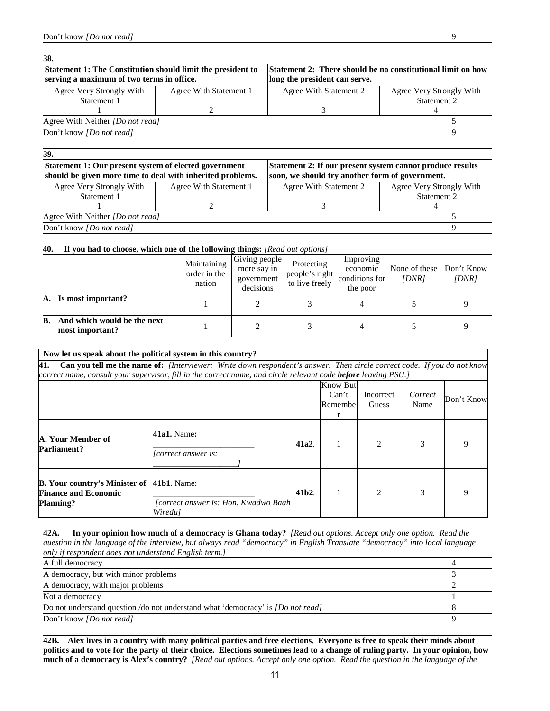Don't know *[Do not read]* 9

| 38.<br>Statement 1: The Constitution should limit the president to<br><b>Statement 2: There should be no constitutional limit on how</b><br>serving a maximum of two terms in office.<br>long the president can serve. |                        |                        |  |                          |  |
|------------------------------------------------------------------------------------------------------------------------------------------------------------------------------------------------------------------------|------------------------|------------------------|--|--------------------------|--|
| Agree Very Strongly With                                                                                                                                                                                               | Agree With Statement 1 | Agree With Statement 2 |  | Agree Very Strongly With |  |
| Statement 1                                                                                                                                                                                                            |                        |                        |  | Statement 2              |  |
|                                                                                                                                                                                                                        |                        |                        |  |                          |  |
| Agree With Neither [Do not read]                                                                                                                                                                                       |                        |                        |  |                          |  |
| Don't know <i>[Do not read]</i>                                                                                                                                                                                        |                        |                        |  |                          |  |
|                                                                                                                                                                                                                        |                        |                        |  |                          |  |

| 39.<br>Statement 1: Our present system of elected government<br>Statement 2: If our present system cannot produce results<br>should be given more time to deal with inherited problems.<br>soon, we should try another form of government. |                        |                        |  |                          |  |  |
|--------------------------------------------------------------------------------------------------------------------------------------------------------------------------------------------------------------------------------------------|------------------------|------------------------|--|--------------------------|--|--|
| Agree Very Strongly With                                                                                                                                                                                                                   | Agree With Statement 1 | Agree With Statement 2 |  | Agree Very Strongly With |  |  |
| Statement 1                                                                                                                                                                                                                                |                        |                        |  | Statement 2              |  |  |
|                                                                                                                                                                                                                                            |                        |                        |  |                          |  |  |
| Agree With Neither <i>[Do not read]</i>                                                                                                                                                                                                    |                        |                        |  |                          |  |  |
| Don't know <i>[Do not read]</i>                                                                                                                                                                                                            |                        |                        |  |                          |  |  |
|                                                                                                                                                                                                                                            |                        |                        |  |                          |  |  |

| 40.<br>If you had to choose, which one of the following things: [Read out options] |                                       |                                                         |                                                |                                                     |                        |                     |  |
|------------------------------------------------------------------------------------|---------------------------------------|---------------------------------------------------------|------------------------------------------------|-----------------------------------------------------|------------------------|---------------------|--|
|                                                                                    | Maintaining<br>order in the<br>nation | Giving people<br>more say in<br>government<br>decisions | Protecting<br>people's right<br>to live freely | Improving<br>economic<br>conditions for<br>the poor | None of these<br>[DNR] | Don't Know<br>[DNR] |  |
| Is most important?<br>А.                                                           |                                       |                                                         |                                                |                                                     |                        |                     |  |
| And which would be the next<br>B.<br>most important?                               |                                       |                                                         |                                                |                                                     |                        |                     |  |

| Now let us speak about the political system in this country?                            |                                                                                                                         |                  |                                           |                               |                 |            |
|-----------------------------------------------------------------------------------------|-------------------------------------------------------------------------------------------------------------------------|------------------|-------------------------------------------|-------------------------------|-----------------|------------|
| 41.                                                                                     | Can you tell me the name of: [Interviewer: Write down respondent's answer. Then circle correct code. If you do not know |                  |                                           |                               |                 |            |
|                                                                                         | correct name, consult your supervisor, fill in the correct name, and circle relevant code before leaving PSU.]          |                  |                                           |                               |                 |            |
|                                                                                         |                                                                                                                         |                  | <b>Know But</b><br>Can't<br>Remembel<br>r | Incorrect<br>Guess            | Correct<br>Name | Don't Know |
| A. Your Member of<br><b>Parliament?</b>                                                 | <b>41a1.</b> Name:<br>Correct answer is:                                                                                | 41a2.            |                                           | $\mathcal{L}$                 | 3               |            |
| <b>B.</b> Your country's Minister of<br><b>Finance and Economic</b><br><b>Planning?</b> | <b>41b1.</b> Name:<br>[correct answer is: Hon. Kwadwo Baah<br>Wiredu]                                                   | 41 <sub>b2</sub> |                                           | $\mathfrak{D}_{\mathfrak{p}}$ |                 |            |

**42A. In your opinion how much of a democracy is Ghana today?** *[Read out options. Accept only one option. Read the question in the language of the interview, but always read "democracy" in English Translate "democracy" into local language only if respondent does not understand English term.]* A full democracy and the set of the set of the set of the set of the set of the set of the set of the set of the set of the set of the set of the set of the set of the set of the set of the set of the set of the set of the A democracy, but with minor problems 3 A democracy, with major problems 2 Not a democracy and the state of the state of the state of the state of the state of the state of the state of the state of the state of the state of the state of the state of the state of the state of the state of the sta Do not understand question /do not understand what 'democracy' is *[Do not read]* 8 Don't know *[Do not read]* 9

**42B. Alex lives in a country with many political parties and free elections. Everyone is free to speak their minds about politics and to vote for the party of their choice. Elections sometimes lead to a change of ruling party. In your opinion, how much of a democracy is Alex's country?** *[Read out options. Accept only one option. Read the question in the language of the*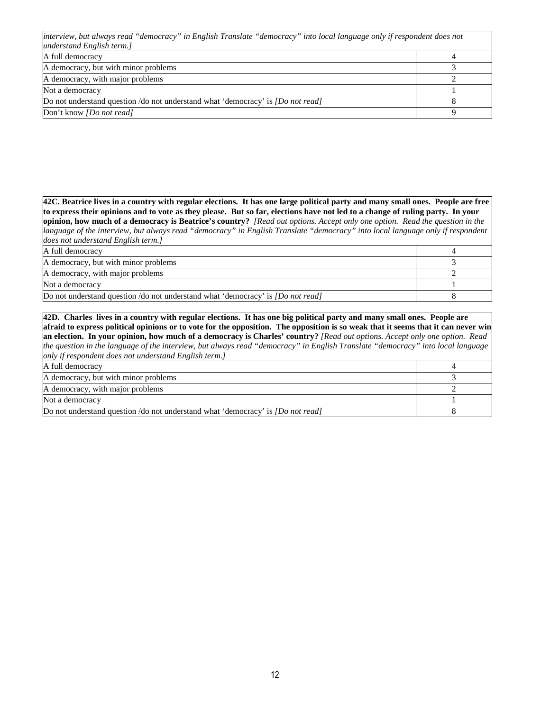| interview, but always read "democracy" in English Translate "democracy" into local language only if respondent does not |  |  |  |  |
|-------------------------------------------------------------------------------------------------------------------------|--|--|--|--|
| understand English term.]                                                                                               |  |  |  |  |
| A full democracy                                                                                                        |  |  |  |  |
| A democracy, but with minor problems                                                                                    |  |  |  |  |
| A democracy, with major problems                                                                                        |  |  |  |  |
| Not a democracy                                                                                                         |  |  |  |  |
| Do not understand question /do not understand what 'democracy' is <i>[Do not read]</i>                                  |  |  |  |  |
| Don't know <i>[Do not read]</i>                                                                                         |  |  |  |  |

**42C. Beatrice lives in a country with regular elections. It has one large political party and many small ones. People are free to express their opinions and to vote as they please. But so far, elections have not led to a change of ruling party. In your opinion, how much of a democracy is Beatrice's country?** *[Read out options. Accept only one option. Read the question in the language of the interview, but always read "democracy" in English Translate "democracy" into local language only if respondent does not understand English term.]*

| A full democracy                                                                       |  |
|----------------------------------------------------------------------------------------|--|
| A democracy, but with minor problems                                                   |  |
| A democracy, with major problems                                                       |  |
| Not a democracy                                                                        |  |
| Do not understand question /do not understand what 'democracy' is <i>[Do not read]</i> |  |

**42D. Charles lives in a country with regular elections. It has one big political party and many small ones. People are afraid to express political opinions or to vote for the opposition. The opposition is so weak that it seems that it can never win an election. In your opinion, how much of a democracy is Charles' country?** *[Read out options. Accept only one option. Read the question in the language of the interview, but always read "democracy" in English Translate "democracy" into local language only if respondent does not understand English term.]*

| A full democracy                                                                       |  |
|----------------------------------------------------------------------------------------|--|
| A democracy, but with minor problems                                                   |  |
| A democracy, with major problems                                                       |  |
| Not a democracy                                                                        |  |
| Do not understand question /do not understand what 'democracy' is <i>[Do not read]</i> |  |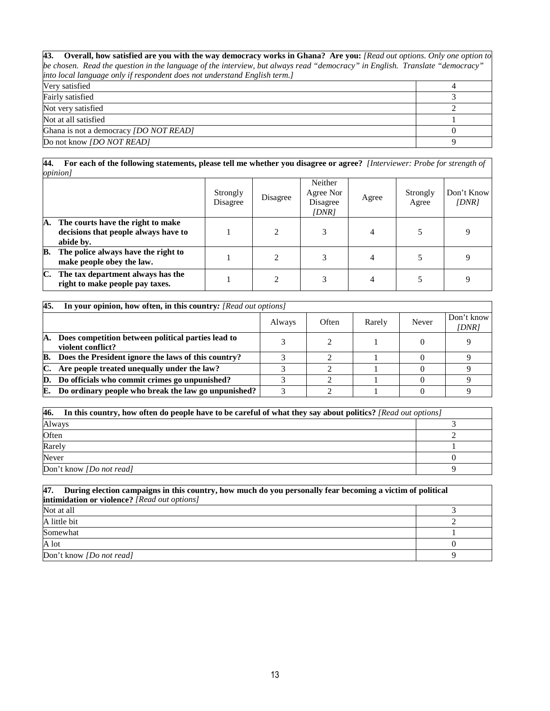| 43. Overall, how satisfied are you with the way democracy works in Ghana? Are you: [Read out options. Only one option to     |          |
|------------------------------------------------------------------------------------------------------------------------------|----------|
| be chosen. Read the question in the language of the interview, but always read "democracy" in English. Translate "democracy" |          |
| into local language only if respondent does not understand English term.]                                                    |          |
| Very satisfied                                                                                                               |          |
| Fairly satisfied                                                                                                             |          |
| Not very satisfied                                                                                                           |          |
| Not at all satisfied                                                                                                         |          |
| Ghana is not a democracy <i>[DO NOT READ]</i>                                                                                | $\Omega$ |
| Do not know <i>[DO NOT READ]</i>                                                                                             | Q        |

#### **44. For each of the following statements, please tell me whether you disagree or agree?** *[Interviewer: Probe for strength of opinion]*

|    |                                                                                        | Strongly<br>Disagree | Disagree | Neither<br>Agree Nor<br>Disagree<br>[DNR] | Agree | Strongly<br>Agree | Don't Know<br>[DNR] |
|----|----------------------------------------------------------------------------------------|----------------------|----------|-------------------------------------------|-------|-------------------|---------------------|
| А. | The courts have the right to make<br>decisions that people always have to<br>abide by. |                      |          | 3                                         | 4     |                   |                     |
| В. | The police always have the right to<br>make people obey the law.                       |                      |          |                                           | 4     |                   |                     |
| C. | The tax department always has the<br>right to make people pay taxes.                   |                      |          |                                           | 4     |                   |                     |

| 45. | In your opinion, how often, in this country: [Read out options]         |        |       |        |       |                     |
|-----|-------------------------------------------------------------------------|--------|-------|--------|-------|---------------------|
|     |                                                                         | Always | Often | Rarely | Never | Don't know<br>[DNR] |
| А.  | Does competition between political parties lead to<br>violent conflict? |        |       |        |       |                     |
| В.  | Does the President ignore the laws of this country?                     |        |       |        |       |                     |
| C.  | Are people treated unequally under the law?                             |        |       |        |       |                     |
|     | D. Do officials who commit crimes go unpunished?                        |        |       |        |       |                     |
|     | <b>E.</b> Do ordinary people who break the law go unpunished?           |        |       |        |       |                     |

| 46.<br>In this country, how often do people have to be careful of what they say about politics? [Read out options] |  |  |  |  |  |
|--------------------------------------------------------------------------------------------------------------------|--|--|--|--|--|
| Always                                                                                                             |  |  |  |  |  |
| Often                                                                                                              |  |  |  |  |  |
| Rarely                                                                                                             |  |  |  |  |  |
| Never                                                                                                              |  |  |  |  |  |
| Don't know [Do not read]                                                                                           |  |  |  |  |  |

| 47.<br>During election campaigns in this country, how much do you personally fear becoming a victim of political<br>intimidation or violence? [Read out options] |  |  |  |  |  |
|------------------------------------------------------------------------------------------------------------------------------------------------------------------|--|--|--|--|--|
| Not at all                                                                                                                                                       |  |  |  |  |  |
| A little bit                                                                                                                                                     |  |  |  |  |  |
| Somewhat                                                                                                                                                         |  |  |  |  |  |
| A lot                                                                                                                                                            |  |  |  |  |  |
| Don't know <i>[Do not read]</i>                                                                                                                                  |  |  |  |  |  |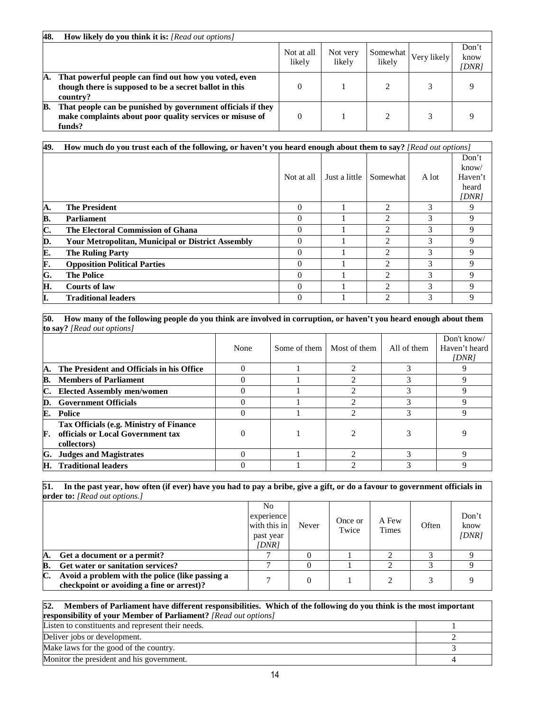| 48. | <b>How likely do you think it is:</b> [Read out options]                                                                          |                      |                    |                    |             |                        |
|-----|-----------------------------------------------------------------------------------------------------------------------------------|----------------------|--------------------|--------------------|-------------|------------------------|
|     |                                                                                                                                   | Not at all<br>likely | Not very<br>likely | Somewhat<br>likely | Very likely | Don't<br>know<br>DNR 1 |
| А.  | That powerful people can find out how you voted, even<br>though there is supposed to be a secret ballot in this<br>country?       |                      |                    |                    |             |                        |
| в.  | That people can be punished by government officials if they<br>make complaints about poor quality services or misuse of<br>funds? |                      |                    |                    |             |                        |

| 49. | How much do you trust each of the following, or haven't you heard enough about them to say? [Read out options] |            |               |                             |               |                                             |  |  |
|-----|----------------------------------------------------------------------------------------------------------------|------------|---------------|-----------------------------|---------------|---------------------------------------------|--|--|
|     |                                                                                                                | Not at all | Just a little | Somewhat                    | A lot         | Don't<br>kmow/<br>Haven't<br>heard<br>[DNR] |  |  |
| A.  | <b>The President</b>                                                                                           | $\Omega$   |               | $\mathcal{D}_{\mathcal{A}}$ | 3             | 9                                           |  |  |
| В.  | <b>Parliament</b>                                                                                              | $\Omega$   |               | $\mathfrak{D}$              | 3             | 9                                           |  |  |
| C.  | The Electoral Commission of Ghana                                                                              | 0          |               | $\mathfrak{D}$              | $\mathcal{R}$ | 9                                           |  |  |
| D.  | <b>Your Metropolitan, Municipal or District Assembly</b>                                                       | $\Omega$   |               | $\mathfrak{D}$              | $\mathcal{R}$ | 9                                           |  |  |
| E.  | <b>The Ruling Party</b>                                                                                        | 0          |               | $\mathfrak{D}$              | 3             | 9                                           |  |  |
| F.  | <b>Opposition Political Parties</b>                                                                            | 0          |               | $\mathcal{D}_{\mathcal{A}}$ | 3             | 9                                           |  |  |
| G.  | <b>The Police</b>                                                                                              | $\Omega$   |               | $\mathfrak{D}$              | 3             | 9                                           |  |  |
| Н.  | <b>Courts of law</b>                                                                                           | 0          |               | $\mathfrak{D}$              | $\mathcal{R}$ | 9                                           |  |  |
| Į.  | <b>Traditional leaders</b>                                                                                     | 0          |               | $\mathcal{D}_{\mathcal{L}}$ | 3             | 9                                           |  |  |

**50. How many of the following people do you think are involved in corruption, or haven't you heard enough about them to say?** *[Read out options]* 

|    |                                                                                             | None | Some of them | Most of them | All of them | Don't know/<br>Haven't heard<br>[DNR] |
|----|---------------------------------------------------------------------------------------------|------|--------------|--------------|-------------|---------------------------------------|
| А. | The President and Officials in his Office                                                   |      |              |              |             |                                       |
| В. | <b>Members of Parliament</b>                                                                |      |              |              |             |                                       |
| C. | <b>Elected Assembly men/women</b>                                                           |      |              |              |             |                                       |
| D. | <b>Government Officials</b>                                                                 |      |              |              |             |                                       |
| E. | <b>Police</b>                                                                               |      |              |              |             |                                       |
| F. | Tax Officials (e.g. Ministry of Finance<br>officials or Local Government tax<br>collectors) |      |              |              |             |                                       |
| G. | <b>Judges and Magistrates</b>                                                               |      |              |              |             |                                       |
| Н. | <b>Traditional leaders</b>                                                                  |      |              |              |             |                                       |

**51. In the past year, how often (if ever) have you had to pay a bribe, give a gift, or do a favour to government officials in order to:** *[Read out options.]*

|    |                                                                                              | N <sub>0</sub><br>experience<br>with this in<br>past year<br>[DNR] | Never | Once or<br>Twice | A Few<br><b>Times</b> | Often | Don't<br>know<br>DNR 1 |
|----|----------------------------------------------------------------------------------------------|--------------------------------------------------------------------|-------|------------------|-----------------------|-------|------------------------|
| A  | Get a document or a permit?                                                                  |                                                                    |       |                  |                       |       |                        |
| B. | Get water or sanitation services?                                                            |                                                                    |       |                  |                       |       |                        |
| C. | Avoid a problem with the police (like passing a<br>checkpoint or avoiding a fine or arrest)? |                                                                    |       |                  |                       |       |                        |

## **52. Members of Parliament have different responsibilities. Which of the following do you think is the most important responsibility of your Member of Parliament?** *[Read out options]*  Listen to constituents and represent their needs. 1 Deliver jobs or development. 2 Make laws for the good of the country. 3

Monitor the president and his government. 4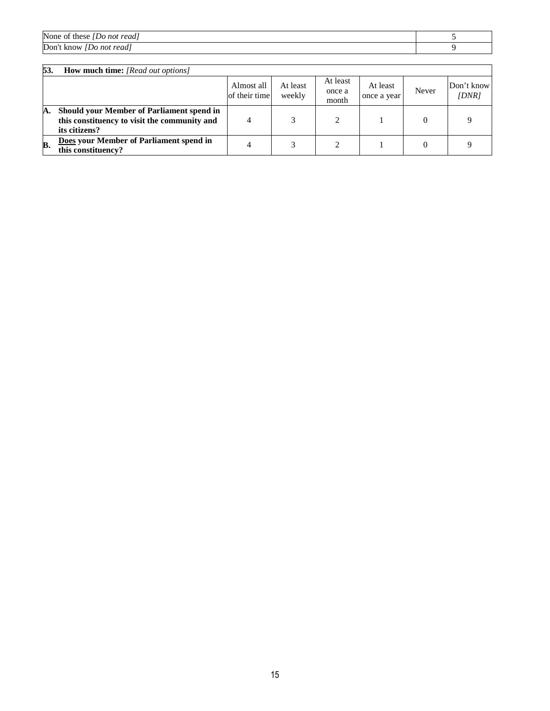| None of these<br>: [Do not read] |  |
|----------------------------------|--|
| Don't know<br>[Do not read]      |  |

| 53. | <b>How much time:</b> [Read out options]                                                                   |                             |                    |                             |                         |          |                    |
|-----|------------------------------------------------------------------------------------------------------------|-----------------------------|--------------------|-----------------------------|-------------------------|----------|--------------------|
|     |                                                                                                            | Almost all<br>of their time | At least<br>weekly | At least<br>once a<br>month | At least<br>once a year | Never    | Don't know<br>IDNR |
| А.  | Should your Member of Parliament spend in<br>this constituency to visit the community and<br>its citizens? |                             |                    |                             |                         | $\Omega$ |                    |
| В.  | Does your Member of Parliament spend in<br>this constituency?                                              | 4                           |                    |                             |                         | $\theta$ |                    |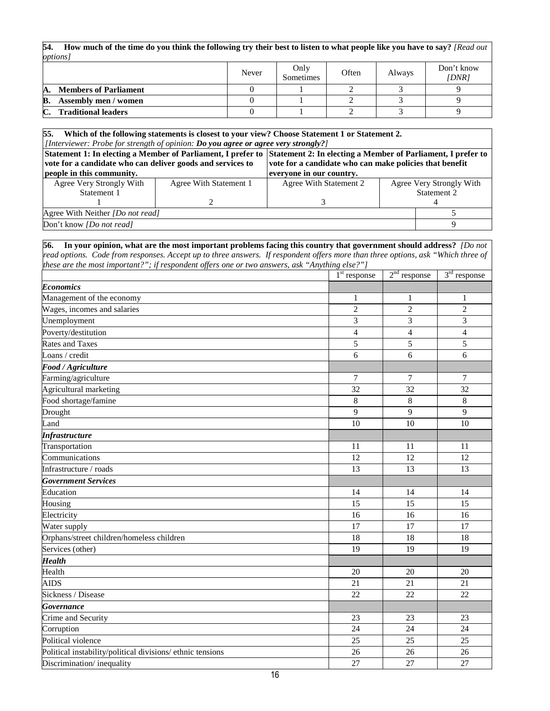**54. How much of the time do you think the following try their best to listen to what people like you have to say?** *[Read out options]*

|                                              | Never | Only<br>Sometimes | Often | Always | Don't know<br>[DNR] |
|----------------------------------------------|-------|-------------------|-------|--------|---------------------|
| <b>Members of Parliament</b><br>А.           |       |                   |       |        |                     |
| В.<br><b>Assembly men / women</b>            |       |                   |       |        |                     |
| $\mathbf{C}$ .<br><b>Traditional leaders</b> |       |                   |       |        |                     |

#### **55. Which of the following statements is closest to your view? Choose Statement 1 or Statement 2.** *[Interviewer: Probe for strength of opinion: Do you agree or agree very strongly?]*

| $\mu$ . The contract the contract of $\mu$ is the contract of $\mu$ in the contract of $\mu$ is the contract of $\mu$ |                        |                          |                                                                                                                           |  |  |  |  |
|-----------------------------------------------------------------------------------------------------------------------|------------------------|--------------------------|---------------------------------------------------------------------------------------------------------------------------|--|--|--|--|
|                                                                                                                       |                        |                          |                                                                                                                           |  |  |  |  |
| vote for a candidate who can deliver goods and services to                                                            |                        |                          | vote for a candidate who can make policies that benefit                                                                   |  |  |  |  |
| people in this community.                                                                                             |                        |                          |                                                                                                                           |  |  |  |  |
| Agree With Statement 1                                                                                                | Agree With Statement 2 | Agree Very Strongly With |                                                                                                                           |  |  |  |  |
|                                                                                                                       |                        | Statement 2              |                                                                                                                           |  |  |  |  |
|                                                                                                                       |                        |                          |                                                                                                                           |  |  |  |  |
| Agree With Neither <i>[Do not read]</i>                                                                               |                        |                          |                                                                                                                           |  |  |  |  |
| Don't know <i>[Do not read]</i>                                                                                       |                        |                          |                                                                                                                           |  |  |  |  |
|                                                                                                                       |                        | everyone in our country. | Statement 1: In electing a Member of Parliament, I prefer to Statement 2: In electing a Member of Parliament, I prefer to |  |  |  |  |

#### **56. In your opinion, what are the most important problems facing this country that government should address?** *[Do not read options. Code from responses. Accept up to three answers. If respondent offers more than three options, ask "Which three of these are the most important?"; if respondent offers one or two answers, ask "Anything else?"]*

|                                                            | $1st$ response           | $2nd$ response | $3rd$ response |
|------------------------------------------------------------|--------------------------|----------------|----------------|
| <b>Economics</b>                                           |                          |                |                |
| Management of the economy                                  | 1                        | 1              | 1              |
| Wages, incomes and salaries                                | $\overline{2}$           | $\overline{2}$ | $\overline{c}$ |
| Unemployment                                               | 3                        | 3              | 3              |
| Poverty/destitution                                        | $\overline{\mathcal{L}}$ | $\overline{4}$ | $\overline{4}$ |
| <b>Rates and Taxes</b>                                     | 5                        | 5              | $\overline{5}$ |
| Loans / credit                                             | 6                        | 6              | 6              |
| Food / Agriculture                                         |                          |                |                |
| Farming/agriculture                                        | 7                        | 7              | $\tau$         |
| Agricultural marketing                                     | 32                       | 32             | 32             |
| Food shortage/famine                                       | 8                        | 8              | 8              |
| Drought                                                    | 9                        | 9              | 9              |
| Land                                                       | 10                       | 10             | 10             |
| <b>Infrastructure</b>                                      |                          |                |                |
| Transportation                                             | 11                       | 11             | 11             |
| Communications                                             | 12                       | 12             | 12             |
| Infrastructure / roads                                     | 13                       | 13             | 13             |
| <b>Government Services</b>                                 |                          |                |                |
| Education                                                  | 14                       | 14             | 14             |
| Housing                                                    | 15                       | 15             | 15             |
| Electricity                                                | 16                       | 16             | 16             |
| Water supply                                               | 17                       | 17             | 17             |
| Orphans/street children/homeless children                  | 18                       | 18             | 18             |
| Services (other)                                           | 19                       | 19             | 19             |
| <b>Health</b>                                              |                          |                |                |
| Health                                                     | 20                       | 20             | 20             |
| <b>AIDS</b>                                                | 21                       | 21             | 21             |
| Sickness / Disease                                         | 22                       | 22             | 22             |
| <b>Governance</b>                                          |                          |                |                |
| Crime and Security                                         | 23                       | 23             | 23             |
| Corruption                                                 | 24                       | 24             | 24             |
| Political violence                                         | 25                       | 25             | 25             |
| Political instability/political divisions/ ethnic tensions | 26                       | 26             | 26             |
| Discrimination/inequality                                  | 27                       | 27             | 27             |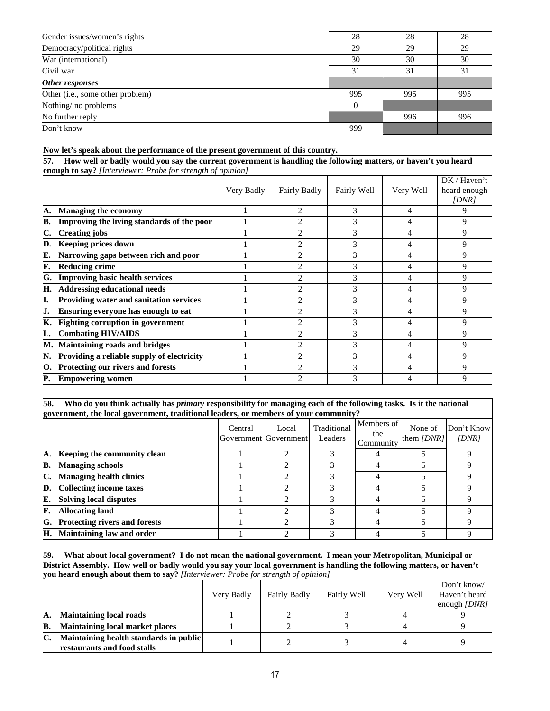| Gender issues/women's rights     | 28       | 28  | 28  |
|----------------------------------|----------|-----|-----|
| Democracy/political rights       | 29       | 29  | 29  |
| War (international)              | 30       | 30  | 30  |
| Civil war                        | 31       | 31  | 31  |
| Other responses                  |          |     |     |
| Other (i.e., some other problem) | 995      | 995 | 995 |
| Nothing/no problems              | $\theta$ |     |     |
| No further reply                 |          | 996 | 996 |
| Don't know                       | 999      |     |     |

|     | Now let's speak about the performance of the present government of this country.                                                                      |  |                |   |   |   |  |  |  |  |
|-----|-------------------------------------------------------------------------------------------------------------------------------------------------------|--|----------------|---|---|---|--|--|--|--|
| 57. | How well or badly would you say the current government is handling the following matters, or haven't you heard                                        |  |                |   |   |   |  |  |  |  |
|     | enough to say? [Interviewer: Probe for strength of opinion]<br>DK / Haven't<br>Fairly Well<br>Very Well<br>Very Badly<br>Fairly Badly<br>heard enough |  |                |   |   |   |  |  |  |  |
| A.  | <b>Managing the economy</b>                                                                                                                           |  |                | 3 | 4 | 9 |  |  |  |  |
| B.  | Improving the living standards of the poor                                                                                                            |  |                | 3 |   | 9 |  |  |  |  |
| C.  | <b>Creating jobs</b>                                                                                                                                  |  |                | 3 | 4 | 9 |  |  |  |  |
| D.  | <b>Keeping prices down</b>                                                                                                                            |  | 2              | 3 | 4 | 9 |  |  |  |  |
| E.  | Narrowing gaps between rich and poor                                                                                                                  |  | 2              | 3 | 4 | 9 |  |  |  |  |
| F.  | <b>Reducing crime</b>                                                                                                                                 |  | 2              | 3 | 4 | 9 |  |  |  |  |
| G.  | <b>Improving basic health services</b>                                                                                                                |  | 2              | 3 |   | 9 |  |  |  |  |
| Н.  | <b>Addressing educational needs</b>                                                                                                                   |  | 2              | 3 |   | 9 |  |  |  |  |
| I.  | Providing water and sanitation services                                                                                                               |  | $\overline{2}$ | 3 |   | 9 |  |  |  |  |
| J.  | Ensuring everyone has enough to eat                                                                                                                   |  | 2              | 3 |   | 9 |  |  |  |  |
| К.  | <b>Fighting corruption in government</b>                                                                                                              |  | 2              | 3 |   | 9 |  |  |  |  |
| L.  | <b>Combating HIV/AIDS</b>                                                                                                                             |  | $\mathfrak{D}$ | 3 | 4 | 9 |  |  |  |  |
| М.  | <b>Maintaining roads and bridges</b>                                                                                                                  |  | 2              | 3 | 4 | 9 |  |  |  |  |
| N.  | Providing a reliable supply of electricity                                                                                                            |  | 2              | 3 | 4 | 9 |  |  |  |  |
| O.  | Protecting our rivers and forests                                                                                                                     |  | $\mathfrak{D}$ | 3 | 4 | 9 |  |  |  |  |
| P.  | <b>Empowering women</b>                                                                                                                               |  | $\overline{c}$ | 3 | 4 | 9 |  |  |  |  |

**58. Who do you think actually has** *primary* **responsibility for managing each of the following tasks. Is it the national government, the local government, traditional leaders, or members of your community?**

|    |                                  | Central | Local<br>Government Government | Traditional<br>Leaders | Members of<br>the<br>Community | None of<br>them $\overline{DNR}$ | Don't Know<br>(DNR) |
|----|----------------------------------|---------|--------------------------------|------------------------|--------------------------------|----------------------------------|---------------------|
| A. | Keeping the community clean      |         |                                |                        |                                |                                  |                     |
| В. | <b>Managing schools</b>          |         |                                |                        |                                |                                  |                     |
| C. | <b>Managing health clinics</b>   |         |                                |                        | 4                              |                                  |                     |
| D. | <b>Collecting income taxes</b>   |         |                                |                        |                                |                                  |                     |
| E. | <b>Solving local disputes</b>    |         | ◠                              |                        |                                |                                  |                     |
| F. | <b>Allocating land</b>           |         |                                |                        |                                |                                  |                     |
| G. | Protecting rivers and forests    |         | ◠                              |                        |                                |                                  |                     |
| Н. | <b>Maintaining law and order</b> |         |                                |                        |                                |                                  |                     |

**59. What about local government? I do not mean the national government. I mean your Metropolitan, Municipal or District Assembly. How well or badly would you say your local government is handling the following matters, or haven't you heard enough about them to say?** *[Interviewer: Probe for strength of opinion]*

|    |                                                                       | Very Badly | Fairly Badly | Fairly Well | Very Well | Don't know/<br>Haven't heard<br>enough $\text{DNR}$ |
|----|-----------------------------------------------------------------------|------------|--------------|-------------|-----------|-----------------------------------------------------|
| А. | <b>Maintaining local roads</b>                                        |            |              |             |           |                                                     |
| B. | <b>Maintaining local market places</b>                                |            |              |             |           |                                                     |
| C. | Maintaining health standards in public<br>restaurants and food stalls |            |              |             |           |                                                     |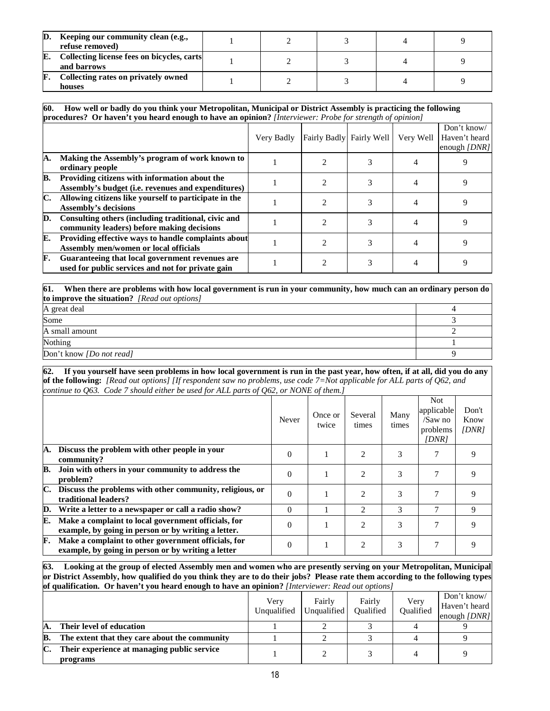| D. | Keeping our community clean (e.g.,<br>refuse removed)     |  |  |  |
|----|-----------------------------------------------------------|--|--|--|
| E. | Collecting license fees on bicycles, carts<br>and barrows |  |  |  |
| F  | Collecting rates on privately owned<br>houses             |  |  |  |

**60. How well or badly do you think your Metropolitan, Municipal or District Assembly is practicing the following procedures? Or haven't you heard enough to have an opinion?** *[Interviewer: Probe for strength of opinion]*

|    |                                                                                                      | Very Badly | Fairly Badly Fairly Well |   | Very Well | Don't know/<br>Haven't heard<br>enough $\text{IDNR}$ |
|----|------------------------------------------------------------------------------------------------------|------------|--------------------------|---|-----------|------------------------------------------------------|
| А. | Making the Assembly's program of work known to<br>ordinary people                                    |            |                          | 3 |           |                                                      |
| B. | Providing citizens with information about the<br>Assembly's budget (i.e. revenues and expenditures)  |            |                          |   |           | a                                                    |
| C. | Allowing citizens like yourself to participate in the<br><b>Assembly's decisions</b>                 |            |                          | 3 |           |                                                      |
| D. | Consulting others (including traditional, civic and<br>community leaders) before making decisions    |            |                          |   |           |                                                      |
| E. | Providing effective ways to handle complaints about<br>Assembly men/women or local officials         |            |                          |   |           |                                                      |
| F. | Guaranteeing that local government revenues are<br>used for public services and not for private gain |            |                          |   |           | q                                                    |

**61. When there are problems with how local government is run in your community, how much can an ordinary person do to improve the situation?** *[Read out options]* 

| A great deal             |  |
|--------------------------|--|
| Some                     |  |
| A small amount           |  |
| Nothing                  |  |
| Don't know [Do not read] |  |

**62. If you yourself have seen problems in how local government is run in the past year, how often, if at all, did you do any of the following:** *[Read out options] [If respondent saw no problems, use code 7=Not applicable for ALL parts of Q62, and continue to Q63. Code 7 should either be used for ALL parts of Q62, or NONE of them.]*

|    |                                                                                                            | <b>Never</b> | Once or<br>twice | Several<br>times | Many<br>times | <b>Not</b><br>applicable<br>/Saw no<br>problems<br>IDNR | Don't<br>Know<br>(DNR) |
|----|------------------------------------------------------------------------------------------------------------|--------------|------------------|------------------|---------------|---------------------------------------------------------|------------------------|
| А. | Discuss the problem with other people in your<br>community?                                                | $\Omega$     |                  | 2                | 3             |                                                         | 9                      |
| B. | Join with others in your community to address the<br>problem?                                              | $\Omega$     |                  | $\overline{2}$   | 3             | 7                                                       | 9                      |
|    | Discuss the problems with other community, religious, or<br>traditional leaders?                           | $\Omega$     |                  | $\mathfrak{D}$   | 3             |                                                         | 9                      |
| D. | Write a letter to a newspaper or call a radio show?                                                        | $\Omega$     |                  | $\mathfrak{D}$   | 3             | 7                                                       | 9                      |
| E. | Make a complaint to local government officials, for<br>example, by going in person or by writing a letter. | $\Omega$     |                  | $\mathfrak{D}$   | 3             | 7                                                       | 9                      |
| F. | Make a complaint to other government officials, for<br>example, by going in person or by writing a letter  | $\Omega$     |                  | $\overline{2}$   | 3             |                                                         |                        |

**63. Looking at the group of elected Assembly men and women who are presently serving on your Metropolitan, Municipal or District Assembly, how qualified do you think they are to do their jobs? Please rate them according to the following types of qualification. Or haven't you heard enough to have an opinion?** *[Interviewer: Read out options]*

|    | <u>Us elementemplotal of the letter in the them in extremely to the letter of the out in the light of the opinion</u> |                     |                       |                     |                   |                                                     |  |  |
|----|-----------------------------------------------------------------------------------------------------------------------|---------------------|-----------------------|---------------------|-------------------|-----------------------------------------------------|--|--|
|    |                                                                                                                       | Verv<br>Unqualified | Fairly<br>Unqualified | Fairly<br>Oualified | Very<br>Oualified | Don't know/<br>Haven't heard<br>enough $\text{DNR}$ |  |  |
|    | Their level of education                                                                                              |                     |                       |                     |                   |                                                     |  |  |
| В. | The extent that they care about the community                                                                         |                     |                       |                     |                   |                                                     |  |  |
| C. | Their experience at managing public service<br>programs                                                               |                     |                       |                     |                   |                                                     |  |  |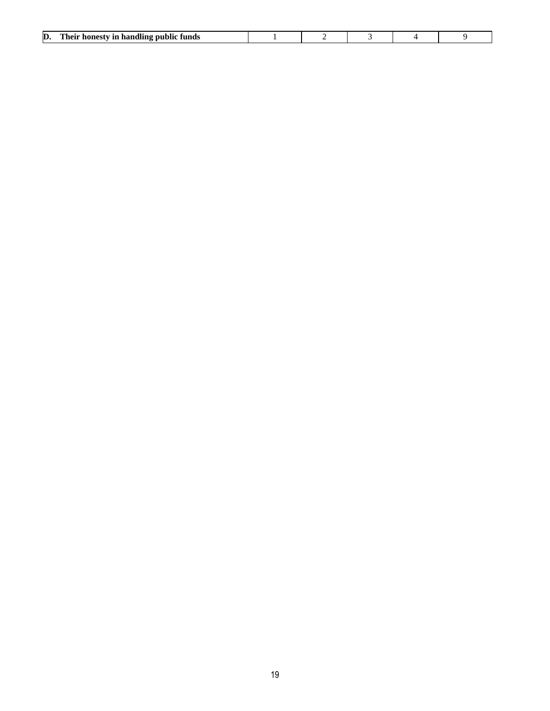| D. | Their<br><i>i</i> in handling public funds<br>' honesty |  |  |  |
|----|---------------------------------------------------------|--|--|--|
|    |                                                         |  |  |  |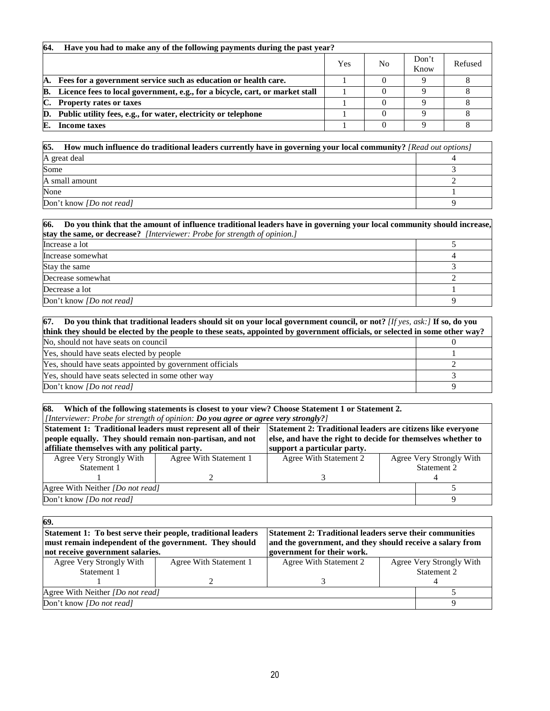| 64. | Have you had to make any of the following payments during the past year?     |     |                |               |         |  |  |  |  |
|-----|------------------------------------------------------------------------------|-----|----------------|---------------|---------|--|--|--|--|
|     |                                                                              | Yes | N <sub>0</sub> | Don't<br>Know | Refused |  |  |  |  |
| А.  | Fees for a government service such as education or health care.              |     |                |               |         |  |  |  |  |
| В.  | Licence fees to local government, e.g., for a bicycle, cart, or market stall |     |                |               |         |  |  |  |  |
| C.  | <b>Property rates or taxes</b>                                               |     |                |               |         |  |  |  |  |
|     | D. Public utility fees, e.g., for water, electricity or telephone            |     |                |               |         |  |  |  |  |
| E.  | Income taxes                                                                 |     |                |               |         |  |  |  |  |

| 65.<br>How much influence do traditional leaders currently have in governing your local community? [Read out options] |  |  |  |  |
|-----------------------------------------------------------------------------------------------------------------------|--|--|--|--|
| A great deal                                                                                                          |  |  |  |  |
| Some                                                                                                                  |  |  |  |  |
| A small amount                                                                                                        |  |  |  |  |
| None                                                                                                                  |  |  |  |  |
| Don't know <i>[Do not read]</i>                                                                                       |  |  |  |  |

| 66. Do you think that the amount of influence traditional leaders have in governing your local community should increase, |  |  |  |  |
|---------------------------------------------------------------------------------------------------------------------------|--|--|--|--|
| <b>stay the same, or decrease?</b> [Interviewer: Probe for strength of opinion.]                                          |  |  |  |  |
| Increase a lot                                                                                                            |  |  |  |  |
| Increase somewhat                                                                                                         |  |  |  |  |
| Stay the same                                                                                                             |  |  |  |  |
| Decrease somewhat                                                                                                         |  |  |  |  |
| Decrease a lot                                                                                                            |  |  |  |  |
| Don't know <i>[Do not read]</i>                                                                                           |  |  |  |  |

| 67. Do you think that traditional leaders should sit on your local government council, or not? [If yes, ask:] If so, do you |                                                                                                                              |  |  |  |  |
|-----------------------------------------------------------------------------------------------------------------------------|------------------------------------------------------------------------------------------------------------------------------|--|--|--|--|
|                                                                                                                             | think they should be elected by the people to these seats, appointed by government officials, or selected in some other way? |  |  |  |  |
| No, should not have seats on council                                                                                        |                                                                                                                              |  |  |  |  |
| Yes, should have seats elected by people                                                                                    |                                                                                                                              |  |  |  |  |
| Yes, should have seats appointed by government officials                                                                    |                                                                                                                              |  |  |  |  |
| Yes, should have seats selected in some other way                                                                           |                                                                                                                              |  |  |  |  |
| Don't know <i>[Do not read]</i>                                                                                             |                                                                                                                              |  |  |  |  |

#### **68. Which of the following statements is closest to your view? Choose Statement 1 or Statement 2.** *[Interviewer: Probe for strength of opinion: Do you agree or agree very strongly?]*

| Statement 1: Traditional leaders must represent all of their |                        | <b>Statement 2: Traditional leaders are citizens like everyone</b> |                          |  |  |  |
|--------------------------------------------------------------|------------------------|--------------------------------------------------------------------|--------------------------|--|--|--|
| people equally. They should remain non-partisan, and not     |                        | else, and have the right to decide for themselves whether to       |                          |  |  |  |
| affiliate themselves with any political party.               |                        | support a particular party.                                        |                          |  |  |  |
| Agree Very Strongly With                                     | Agree With Statement 1 | <b>Agree With Statement 2</b>                                      | Agree Very Strongly With |  |  |  |
| Statement 1                                                  |                        | Statement 2                                                        |                          |  |  |  |
|                                                              |                        |                                                                    |                          |  |  |  |
| Agree With Neither [Do not read]                             |                        |                                                                    |                          |  |  |  |
| Don't know <i>[Do not read]</i>                              |                        |                                                                    |                          |  |  |  |

| 69.                                                                                                                 |                        |                                                                 |  |                          |
|---------------------------------------------------------------------------------------------------------------------|------------------------|-----------------------------------------------------------------|--|--------------------------|
| Statement 1: To best serve their people, traditional leaders                                                        |                        | <b>Statement 2: Traditional leaders serve their communities</b> |  |                          |
| must remain independent of the government. They should<br>and the government, and they should receive a salary from |                        |                                                                 |  |                          |
| government for their work.<br>not receive government salaries.                                                      |                        |                                                                 |  |                          |
| Agree Very Strongly With                                                                                            | Agree With Statement 1 | <b>Agree With Statement 2</b>                                   |  | Agree Very Strongly With |
| Statement 1                                                                                                         |                        |                                                                 |  | Statement 2              |
|                                                                                                                     |                        |                                                                 |  |                          |
| Agree With Neither <i>[Do not read]</i>                                                                             |                        |                                                                 |  |                          |
| Don't know <i>[Do not read]</i>                                                                                     |                        |                                                                 |  |                          |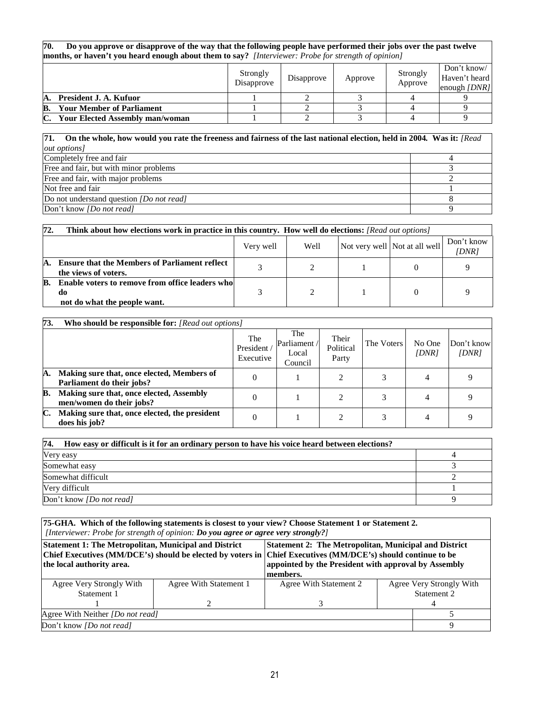**70. Do you approve or disapprove of the way that the following people have performed their jobs over the past twelve months, or haven't you heard enough about them to say?** *[Interviewer: Probe for strength of opinion]* 

|    |                                        | Strongly<br>Disapprove | Disapprove | Approve | Strongly<br>Approve | Don't know/<br>Haven't heard<br>enough $\text{DNR}$ |
|----|----------------------------------------|------------------------|------------|---------|---------------------|-----------------------------------------------------|
| A. | President J. A. Kufuor                 |                        |            |         |                     |                                                     |
| B. | <b>Your Member of Parliament</b>       |                        |            |         |                     |                                                     |
| C. | <b>Your Elected Assembly man/woman</b> |                        |            |         |                     |                                                     |

#### **71. On the whole, how would you rate the freeness and fairness of the last national election, held in 2004***.* **Was it:** *[Read out options]*

| $\nu$ <sup><i>w</i></sup> $\nu$ <sup><i>w</i></sup> |  |
|-----------------------------------------------------|--|
| Completely free and fair                            |  |
| Free and fair, but with minor problems              |  |
| Free and fair, with major problems                  |  |
| Not free and fair                                   |  |
| Do not understand question <i>[Do not read]</i>     |  |
| Don't know <i>[Do not read]</i>                     |  |

| 72.                                                | <b>Think about how elections work in practice in this country. How well do elections:</b> [Read out options] |   |  |  |  |                     |  |  |
|----------------------------------------------------|--------------------------------------------------------------------------------------------------------------|---|--|--|--|---------------------|--|--|
| Not very well Not at all well<br>Well<br>Very well |                                                                                                              |   |  |  |  | Don't know<br>[DNR] |  |  |
| А.                                                 | <b>Ensure that the Members of Parliament reflect</b><br>the views of voters.                                 | 2 |  |  |  |                     |  |  |
| B.                                                 | Enable voters to remove from office leaders who<br>do<br>not do what the people want.                        |   |  |  |  |                     |  |  |

| 73. | Who should be responsible for: [Read out options]                       |                               |                                         |                             |            |                 |                     |
|-----|-------------------------------------------------------------------------|-------------------------------|-----------------------------------------|-----------------------------|------------|-----------------|---------------------|
|     |                                                                         | The<br>President<br>Executive | The<br>Parliament /<br>Local<br>Council | Their<br>Political<br>Party | The Voters | No One<br>[DNR] | Don't know<br>[DNR] |
| А.  | Making sure that, once elected, Members of<br>Parliament do their jobs? |                               |                                         | ◠                           |            |                 |                     |
| B.  | Making sure that, once elected, Assembly<br>men/women do their jobs?    |                               |                                         |                             |            |                 |                     |
| C.  | Making sure that, once elected, the president<br>does his job?          | $\theta$                      |                                         |                             |            | 4               |                     |

| 74.<br>How easy or difficult is it for an ordinary person to have his voice heard between elections? |  |  |  |  |
|------------------------------------------------------------------------------------------------------|--|--|--|--|
| Very easy                                                                                            |  |  |  |  |
| Somewhat easy                                                                                        |  |  |  |  |
| Somewhat difficult                                                                                   |  |  |  |  |
| Very difficult                                                                                       |  |  |  |  |
| Don't know <i>[Do not read]</i>                                                                      |  |  |  |  |

**75-GHA. Which of the following statements is closest to your view? Choose Statement 1 or Statement 2.** *[Interviewer: Probe for strength of opinion: Do you agree or agree very strongly?]* **Statement 1: The Metropolitan, Municipal and District Chief Executives (MM/DCE's) should be elected by voters in the local authority area. Statement 2: The Metropolitan, Municipal and District Chief Executives (MM/DCE's) should continue to be appointed by the President with approval by Assembly members.**  Agree Very Strongly With Statement 1 1 Agree With Statement 1 2 Agree With Statement 2 3 Agree Very Strongly With Statement 2 4 Agree With Neither *[Do not read]* 5 Don't know *[Do not read]* 9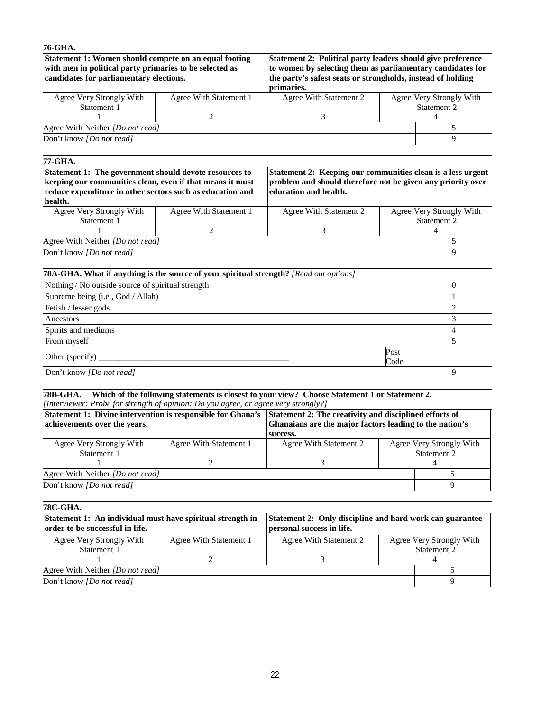| 76-GHA.                                                                                                                                                     |                        |                                                                                                                                                                                                        |  |                          |
|-------------------------------------------------------------------------------------------------------------------------------------------------------------|------------------------|--------------------------------------------------------------------------------------------------------------------------------------------------------------------------------------------------------|--|--------------------------|
| Statement 1: Women should compete on an equal footing<br>with men in political party primaries to be selected as<br>candidates for parliamentary elections. |                        | Statement 2: Political party leaders should give preference<br>to women by selecting them as parliamentary candidates for<br>the party's safest seats or strongholds, instead of holding<br>primaries. |  |                          |
| Agree Very Strongly With                                                                                                                                    | Agree With Statement 1 | Agree With Statement 2                                                                                                                                                                                 |  | Agree Very Strongly With |
| Statement 1                                                                                                                                                 |                        |                                                                                                                                                                                                        |  | Statement 2              |
|                                                                                                                                                             |                        |                                                                                                                                                                                                        |  |                          |
| Agree With Neither [Do not read]                                                                                                                            |                        |                                                                                                                                                                                                        |  |                          |
| Don't know <i>[Do not read]</i>                                                                                                                             |                        |                                                                                                                                                                                                        |  |                          |
|                                                                                                                                                             |                        |                                                                                                                                                                                                        |  |                          |

## **77-GHA. Statement 1: The government should devote resources to keeping our communities clean, even if that means it must**

**reduce expenditure in other sectors such as education and** 

**Statement 2: Keeping our communities clean is a less urgent problem and should therefore not be given any priority over education and health.** 

| health.                                 |                        |                        |                          |             |
|-----------------------------------------|------------------------|------------------------|--------------------------|-------------|
| Agree Very Strongly With                | Agree With Statement 1 | Agree With Statement 2 | Agree Very Strongly With |             |
| Statement 1                             |                        |                        |                          | Statement 2 |
|                                         |                        |                        |                          |             |
| Agree With Neither <i>[Do not read]</i> |                        |                        |                          |             |
| Don't know <i>[Do not read]</i>         |                        |                        |                          |             |

| [78A-GHA. What if anything is the source of your spiritual strength? [Read out options] |              |   |  |
|-----------------------------------------------------------------------------------------|--------------|---|--|
| Nothing / No outside source of spiritual strength                                       |              |   |  |
| Supreme being (i.e., God / Allah)                                                       |              |   |  |
| Fetish / lesser gods                                                                    |              |   |  |
| Ancestors                                                                               |              |   |  |
| Spirits and mediums                                                                     |              |   |  |
| From myself                                                                             |              |   |  |
|                                                                                         | Post<br>Code |   |  |
| Don't know <i>[Do not read]</i>                                                         |              | Q |  |

#### **78B-GHA. Which of the following statements is closest to your view? Choose Statement 1 or Statement 2.**  *[Interviewer: Probe for strength of opinion: Do you agree, or agree very strongly?]*

|                                                                                         | Statement 1: Divine intervention is responsible for Ghana's Statement 2: The creativity and disciplined efforts of |          |             |  |
|-----------------------------------------------------------------------------------------|--------------------------------------------------------------------------------------------------------------------|----------|-------------|--|
| Ghanaians are the major factors leading to the nation's<br>achievements over the years. |                                                                                                                    |          |             |  |
|                                                                                         |                                                                                                                    | success. |             |  |
| Agree Very Strongly With                                                                | Agree Very Strongly With<br>Agree With Statement 1<br>Agree With Statement 2                                       |          |             |  |
| Statement 1                                                                             |                                                                                                                    |          | Statement 2 |  |
|                                                                                         |                                                                                                                    |          |             |  |
| Agree With Neither <i>[Do not read]</i>                                                 |                                                                                                                    |          |             |  |
| Don't know <i>[Do not read]</i>                                                         |                                                                                                                    |          |             |  |

# **78C-GHA.**

| Statement 1: An individual must have spiritual strength in<br>order to be successful in life. |  | Statement 2: Only discipline and hard work can guarantee<br>personal success in life. |                                         |  |
|-----------------------------------------------------------------------------------------------|--|---------------------------------------------------------------------------------------|-----------------------------------------|--|
| Agree Very Strongly With<br>Agree With Statement 1<br>Statement 1                             |  | Agree With Statement 2                                                                | Agree Very Strongly With<br>Statement 2 |  |
|                                                                                               |  |                                                                                       |                                         |  |
| Agree With Neither <i>[Do not read]</i>                                                       |  |                                                                                       |                                         |  |
| Don't know <i>[Do not read]</i>                                                               |  |                                                                                       |                                         |  |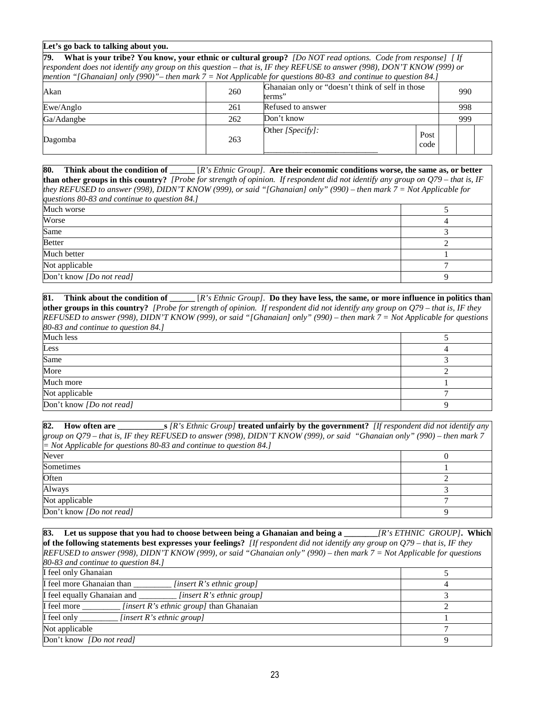#### **Let's go back to talking about you.**

| 79.                                                                                                                    |     | <b>What is your tribe? You know, your ethnic or cultural group?</b> [Do NOT read options. Code from response] [If |              |  |  |  |  |
|------------------------------------------------------------------------------------------------------------------------|-----|-------------------------------------------------------------------------------------------------------------------|--------------|--|--|--|--|
| respondent does not identify any group on this question – that is, IF they REFUSE to answer (998), DON'T KNOW (999) or |     |                                                                                                                   |              |  |  |  |  |
| mention "[Ghanaian] only (990)" – then mark $7 = Not$ Applicable for questions 80-83 and continue to question 84.]     |     |                                                                                                                   |              |  |  |  |  |
| Ghanaian only or "doesn't think of self in those<br>260<br>Akan<br>990<br>terms"                                       |     |                                                                                                                   |              |  |  |  |  |
| Ewe/Anglo                                                                                                              | 261 | Refused to answer<br>998                                                                                          |              |  |  |  |  |
| Don't know<br>262<br>Ga/Adangbe<br>999                                                                                 |     |                                                                                                                   |              |  |  |  |  |
| Dagomba                                                                                                                | 263 | Other $[Specify]$ :                                                                                               | Post<br>code |  |  |  |  |

**80. Think about the condition of \_\_\_\_\_\_** [*R's Ethnic Group].* **Are their economic conditions worse, the same as, or better than other groups in this country?** *[Probe for strength of opinion. If respondent did not identify any group on Q79 – that is, IF they REFUSED to answer (998), DIDN'T KNOW (999), or said "[Ghanaian] only" (990) – then mark 7 = Not Applicable for questions 80-83 and continue to question 84.]*

| Much worse               |  |
|--------------------------|--|
| Worse                    |  |
| Same                     |  |
| Better                   |  |
| Much better              |  |
| Not applicable           |  |
| Don't know [Do not read] |  |
|                          |  |

**81. Think about the condition of \_\_\_\_\_\_** [*R's Ethnic Group].* **Do they have less, the same, or more influence in politics than other groups in this country?** *[Probe for strength of opinion. If respondent did not identify any group on Q79 – that is, IF they REFUSED to answer (998), DIDN'T KNOW (999), or said "[Ghanaian] only" (990) – then mark 7 = Not Applicable for questions 80-83 and continue to question 84.]*

| Much less                |  |
|--------------------------|--|
| Less                     |  |
| Same                     |  |
| More                     |  |
| Much more                |  |
| Not applicable           |  |
| Don't know [Do not read] |  |

**82. How often are \_\_\_\_\_\_\_\_\_\_\_s** *[R's Ethnic Group]* **treated unfairly by the government?** *[If respondent did not identify any group on Q79 – that is, IF they REFUSED to answer (998), DIDN'T KNOW (999), or said "Ghanaian only" (990) – then mark 7 = Not Applicable for questions 80-83 and continue to question 84.]* Never  $\qquad \qquad 0$ Sometimes 1 and 1 and 1 and 1 and 1 and 1 and 1 and 1 and 1 and 1 and 1 and 1 and 1 and 1 and 1 and 1 and 1 and 1 and 1 and 1 and 1 and 1 and 1 and 1 and 1 and 1 and 1 and 1 and 1 and 1 and 1 and 1 and 1 and 1 and 1 and 1 Often  $\overline{2}$ Always 3 Not applicable  $\overline{7}$ Don't know *[Do not read]* 9

**83. Let us suppose that you had to choose between being a Ghanaian and being a \_\_\_\_\_\_\_\_***[R's ETHNIC GROUP]***. Which of the following statements best expresses your feelings?** *[If respondent did not identify any group on Q79 – that is, IF they REFUSED to answer (998), DIDN'T KNOW (999), or said "Ghanaian only" (990) – then mark 7 = Not Applicable for questions 80-83 and continue to question 84.]* I feel only Ghanaian 5 I feel more Ghanaian than *[insert R's ethnic group]*  $\begin{array}{c} 4 \end{array}$ I feel equally Ghanaian and \_\_\_\_\_\_\_\_\_\_ *[insert R's ethnic group]* 3 **I** feel more *linsert R's ethnic group]* than Ghanaian 2 I feel only \_\_\_\_\_\_\_\_\_ *[insert R's ethnic group]* 1 Not applicable  $\begin{array}{ccc} 7 & 7 \\ 7 & 7 \end{array}$ Don't know *[Do not read]* 9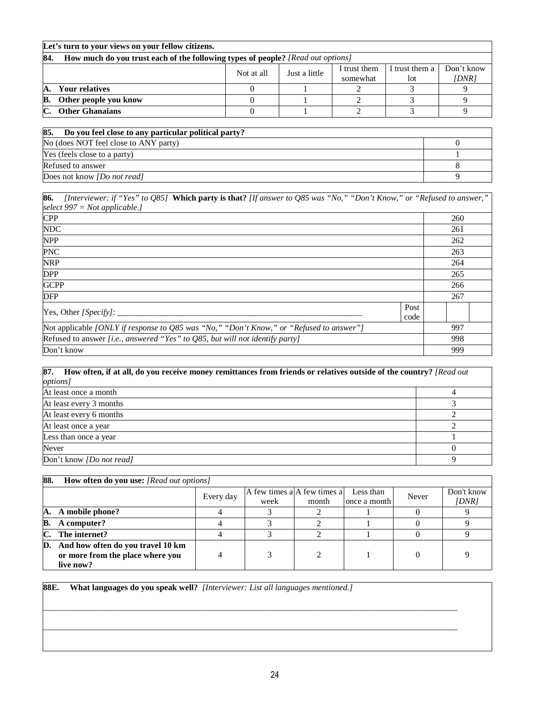| Let's turn to your views on your fellow citizens.                                      |  |  |          |     |       |  |  |
|----------------------------------------------------------------------------------------|--|--|----------|-----|-------|--|--|
| 84.<br>How much do you trust each of the following types of people? [Read out options] |  |  |          |     |       |  |  |
| Don't know<br>I trust them a<br>I trust them<br>Just a little<br>Not at all            |  |  |          |     |       |  |  |
|                                                                                        |  |  | somewhat | lot | [DNR] |  |  |
| <b>Your relatives</b><br>А.                                                            |  |  |          |     |       |  |  |
| Other people you know<br>В.                                                            |  |  |          |     |       |  |  |
| C.<br><b>Other Ghanaians</b>                                                           |  |  |          |     |       |  |  |
|                                                                                        |  |  |          |     |       |  |  |

| 85.<br>Do you feel close to any particular political party? |  |
|-------------------------------------------------------------|--|
| No (does NOT feel close to ANY party)                       |  |
| Yes (feels close to a party)                                |  |
| Refused to answer                                           |  |
| Does not know <i>[Do not read]</i>                          |  |

| 86.<br>[Interviewer: if "Yes" to Q85] Which party is that? [If answer to Q85 was "No," "Don't Know," or "Refused to answer," |              |     |
|------------------------------------------------------------------------------------------------------------------------------|--------------|-----|
| select $997 = Not applicable.$                                                                                               |              |     |
| <b>CPP</b>                                                                                                                   |              | 260 |
| <b>NDC</b>                                                                                                                   |              | 261 |
| <b>NPP</b>                                                                                                                   |              | 262 |
| <b>PNC</b>                                                                                                                   |              | 263 |
| <b>NRP</b>                                                                                                                   |              | 264 |
| <b>DPP</b>                                                                                                                   |              | 265 |
| <b>GCPP</b>                                                                                                                  |              | 266 |
| <b>DFP</b>                                                                                                                   |              | 267 |
|                                                                                                                              | Post<br>code |     |
| [Not applicable <i>[ONLY if response to Q85 was "No," "Don't Know," or "Refused to answer"</i> ]                             |              | 997 |
| Refused to answer <i>[i.e., answered "Yes" to Q85, but will not identify party]</i>                                          |              | 998 |
| Don't know                                                                                                                   |              | 999 |

**87. How often, if at all, do you receive money remittances from friends or relatives outside of the country?** *[Read out options]*  At least once a month 4 At least every 3 months 3 At least every 6 months 2 At least once a year 2 Less than once a year  $1 \t 1$ Never  $\qquad \qquad 0$ **Don't know** *[Do not read]* 9

| 88. | <b>How often do you use:</b> [Read out options] |           |                             |       |              |       |            |  |
|-----|-------------------------------------------------|-----------|-----------------------------|-------|--------------|-------|------------|--|
|     |                                                 | Every day | A few times a A few times a |       | Less than    | Never | Don't know |  |
|     |                                                 |           | week                        | month | once a month |       | [DNR]      |  |
| А.  | A mobile phone?                                 |           |                             |       |              |       |            |  |
| B.  | A computer?                                     |           |                             |       |              |       |            |  |
| C.  | The internet?                                   |           |                             |       |              |       |            |  |
| D.  | And how often do you travel 10 km               |           |                             |       |              |       |            |  |
|     | or more from the place where you                |           |                             |       |              |       |            |  |
|     | live now?                                       |           |                             |       |              |       |            |  |

\_\_\_\_\_\_\_\_\_\_\_\_\_\_\_\_\_\_\_\_\_\_\_\_\_\_\_\_\_\_\_\_\_\_\_\_\_\_\_\_\_\_\_\_\_\_\_\_\_\_\_\_\_\_\_\_\_\_\_\_\_\_\_\_\_\_\_\_\_\_\_\_\_\_\_\_\_\_\_\_\_\_\_\_\_\_\_\_\_\_\_\_\_\_\_\_\_\_

 $\overline{\phantom{a}}$ 

**88E. What languages do you speak well?** *[Interviewer: List all languages mentioned.]*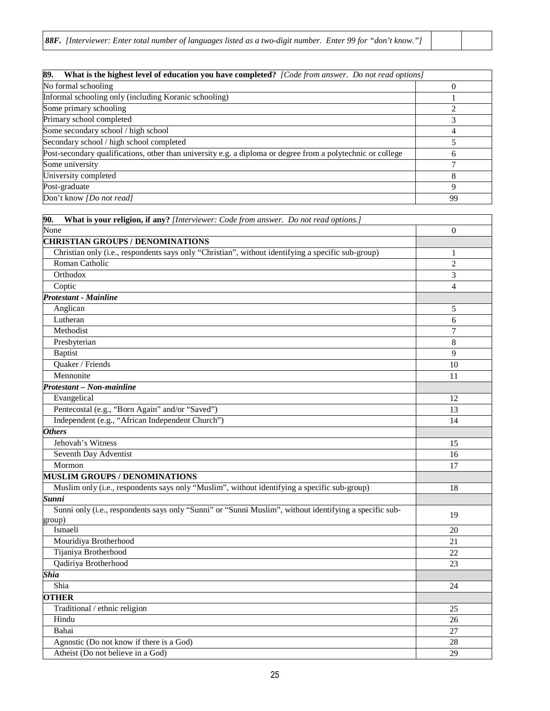| 89.<br>What is the highest level of education you have completed? [Code from answer. Do not read options]   |             |
|-------------------------------------------------------------------------------------------------------------|-------------|
| No formal schooling                                                                                         | $\Omega$    |
| Informal schooling only (including Koranic schooling)                                                       |             |
| Some primary schooling                                                                                      |             |
| Primary school completed                                                                                    |             |
| Some secondary school / high school                                                                         | 4           |
| Secondary school / high school completed                                                                    |             |
| Post-secondary qualifications, other than university e.g. a diploma or degree from a polytechnic or college | h           |
| Some university                                                                                             |             |
| University completed                                                                                        |             |
| Post-graduate                                                                                               | $\mathbf Q$ |
| Don't know [Do not read]                                                                                    | 99          |

| What is your religion, if any? [Interviewer: Code from answer. Do not read options.]<br>90.            |                          |
|--------------------------------------------------------------------------------------------------------|--------------------------|
| None                                                                                                   | $\mathbf{0}$             |
| <b>CHRISTIAN GROUPS / DENOMINATIONS</b>                                                                |                          |
| Christian only (i.e., respondents says only "Christian", without identifying a specific sub-group)     | 1                        |
| Roman Catholic                                                                                         | $\overline{2}$           |
| Orthodox                                                                                               | 3                        |
| Coptic                                                                                                 | $\overline{\mathcal{L}}$ |
| <b>Protestant - Mainline</b>                                                                           |                          |
| Anglican                                                                                               | 5                        |
| Lutheran                                                                                               | 6                        |
| Methodist                                                                                              | 7                        |
| Presbyterian                                                                                           | 8                        |
| <b>Baptist</b>                                                                                         | 9                        |
| Quaker / Friends                                                                                       | 10                       |
| Mennonite                                                                                              | 11                       |
| Protestant - Non-mainline                                                                              |                          |
| Evangelical                                                                                            | 12                       |
| Pentecostal (e.g., "Born Again" and/or "Saved")                                                        | 13                       |
| Independent (e.g., "African Independent Church")                                                       | 14                       |
| <b>Others</b>                                                                                          |                          |
| Jehovah's Witness                                                                                      | 15                       |
| Seventh Day Adventist                                                                                  | 16                       |
| Mormon                                                                                                 | 17                       |
| <b>MUSLIM GROUPS / DENOMINATIONS</b>                                                                   |                          |
| Muslim only (i.e., respondents says only "Muslim", without identifying a specific sub-group)           | 18                       |
| <b>Sunni</b>                                                                                           |                          |
| Sunni only (i.e., respondents says only "Sunni" or "Sunni Muslim", without identifying a specific sub- | 19                       |
| group)                                                                                                 |                          |
| Ismaeli                                                                                                | 20                       |
| Mouridiya Brotherhood                                                                                  | 21                       |
| Tijaniya Brotherhood                                                                                   | 22                       |
| Qadiriya Brotherhood                                                                                   | 23                       |
| <b>Shia</b>                                                                                            |                          |
| Shia                                                                                                   | 24                       |
| <b>OTHER</b>                                                                                           |                          |
| Traditional / ethnic religion                                                                          | 25                       |
| Hindu                                                                                                  | 26                       |
| Bahai                                                                                                  | 27                       |
| Agnostic (Do not know if there is a God)                                                               | 28                       |
| Atheist (Do not believe in a God)                                                                      | 29                       |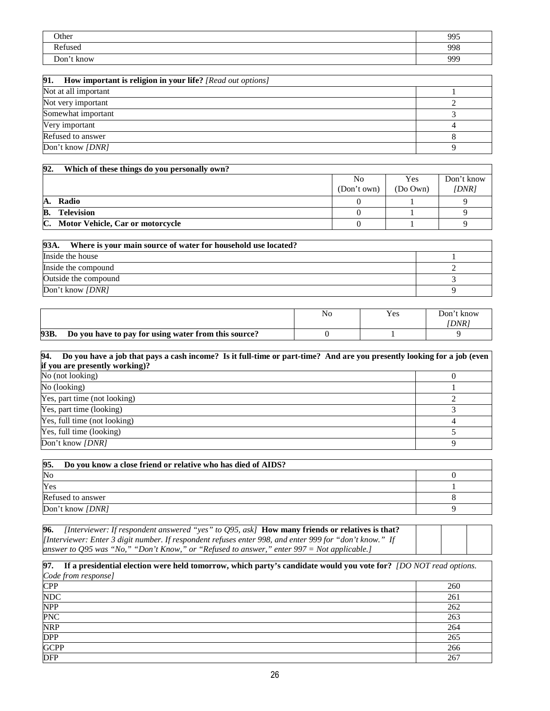| Other      | 995 |
|------------|-----|
| Refused    | 998 |
| Don't know | 999 |

| 91.<br>How important is religion in your life? [Read out options] |  |  |  |  |
|-------------------------------------------------------------------|--|--|--|--|
| Not at all important                                              |  |  |  |  |
| Not very important                                                |  |  |  |  |
| Somewhat important                                                |  |  |  |  |
| Very important                                                    |  |  |  |  |
| Refused to answer                                                 |  |  |  |  |
| Don't know <i>[DNR]</i>                                           |  |  |  |  |

| 92.<br>Which of these things do you personally own? |             |          |            |  |  |  |
|-----------------------------------------------------|-------------|----------|------------|--|--|--|
|                                                     | No          | Yes      | Don't know |  |  |  |
|                                                     | (Don't own) | (Do Own) | [DNR]      |  |  |  |
| Radio<br>А.                                         |             |          |            |  |  |  |
| B.<br><b>Television</b>                             |             |          |            |  |  |  |
| C.<br>Motor Vehicle, Car or motorcycle              |             |          |            |  |  |  |

| 93A.<br>Where is your main source of water for household use located? |  |  |  |  |
|-----------------------------------------------------------------------|--|--|--|--|
| Inside the house                                                      |  |  |  |  |
| Inside the compound                                                   |  |  |  |  |
| Outside the compound                                                  |  |  |  |  |
| Don't know <i>[DNR]</i>                                               |  |  |  |  |

|      |                                                      | No | Yes | Jon't know |
|------|------------------------------------------------------|----|-----|------------|
|      |                                                      |    |     | <b>DNR</b> |
| 93B. | Do you have to pay for using water from this source? |    |     |            |

| 94. Do you have a job that pays a cash income? Is it full-time or part-time? And are you presently looking for a job (even<br>if you are presently working)? |  |
|--------------------------------------------------------------------------------------------------------------------------------------------------------------|--|
| No (not looking)                                                                                                                                             |  |
| No (looking)                                                                                                                                                 |  |
| Yes, part time (not looking)                                                                                                                                 |  |
| Yes, part time (looking)                                                                                                                                     |  |
| Yes, full time (not looking)                                                                                                                                 |  |
| Yes, full time (looking)                                                                                                                                     |  |
| Don't know [DNR]                                                                                                                                             |  |

| Do you know a close friend or relative who has died of AIDS?<br>95. |  |
|---------------------------------------------------------------------|--|
| No                                                                  |  |
| Yes                                                                 |  |
| Refused to answer                                                   |  |
| Don't know <i>[DNR]</i>                                             |  |

**96.** *[Interviewer: If respondent answered "yes" to Q95, ask]* **How many friends or relatives is that?**  *[Interviewer: Enter 3 digit number. If respondent refuses enter 998, and enter 999 for "don't know." If answer to Q95 was "No," "Don't Know," or "Refused to answer," enter 997 = Not applicable.]* 

| 97.<br>If a presidential election were held tomorrow, which party's candidate would you vote for? [DO NOT read options. |     |  |  |  |
|-------------------------------------------------------------------------------------------------------------------------|-----|--|--|--|
| Code from response]                                                                                                     |     |  |  |  |
| CPP                                                                                                                     | 260 |  |  |  |
| <b>NDC</b>                                                                                                              | 261 |  |  |  |
| <b>NPP</b>                                                                                                              | 262 |  |  |  |
| <b>PNC</b>                                                                                                              | 263 |  |  |  |
| <b>NRP</b>                                                                                                              | 264 |  |  |  |
| <b>DPP</b>                                                                                                              | 265 |  |  |  |
| <b>GCPP</b>                                                                                                             | 266 |  |  |  |
| <b>DFP</b>                                                                                                              | 267 |  |  |  |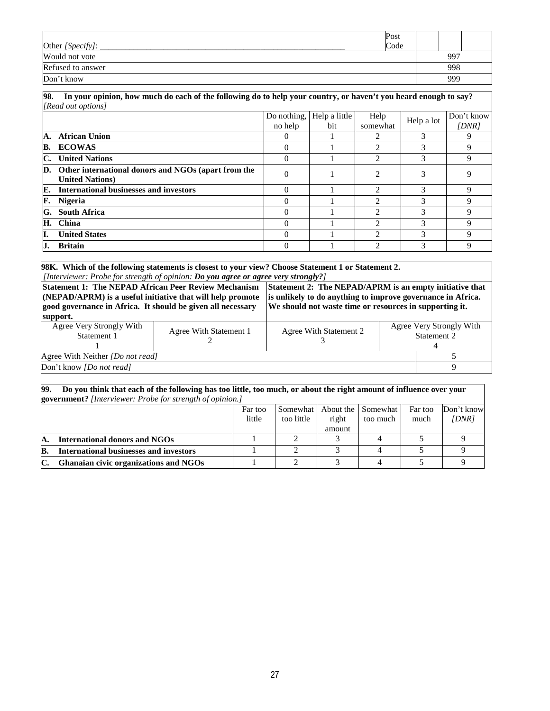| Other [Specify]:  | Post<br>Code |     |  |
|-------------------|--------------|-----|--|
| Would not vote    |              | 997 |  |
| Refused to answer |              | 998 |  |
| Don't know        |              | 999 |  |

| 98. In your opinion, how much do each of the following do to help your country, or haven't you heard enough to say? |
|---------------------------------------------------------------------------------------------------------------------|
| [Read out options]                                                                                                  |

|    |                                                                                          | Do nothing,<br>no help | Help a little<br>bit | Help<br>somewhat            | Help a lot | Don't know<br>IDNR |
|----|------------------------------------------------------------------------------------------|------------------------|----------------------|-----------------------------|------------|--------------------|
| А. | <b>African Union</b>                                                                     | $\theta$               |                      | 2                           | 3          |                    |
|    | <b>B. ECOWAS</b>                                                                         | $\Omega$               |                      | $\mathfrak{D}$              | 3          | 9                  |
| C. | <b>United Nations</b>                                                                    | $\Omega$               |                      | 2                           | 3          | 9                  |
|    | <b>D.</b> Other international donors and NGOs (apart from the<br><b>United Nations</b> ) | $\Omega$               |                      | $\mathfrak{D}$              | 3          |                    |
| E. | <b>International businesses and investors</b>                                            | $\Omega$               |                      | $\mathfrak{D}$              | 3          | Q                  |
| F. | <b>Nigeria</b>                                                                           | $\Omega$               |                      | $\mathfrak{D}$              | 3          | Q                  |
| G. | <b>South Africa</b>                                                                      | $\Omega$               |                      | $\mathcal{D}_{\mathcal{A}}$ | 3          | Q                  |
| Н. | China                                                                                    | $\Omega$               |                      | $\mathfrak{D}$              | 3          | Q                  |
| Ι. | <b>United States</b>                                                                     | $\Omega$               |                      | $\mathcal{D}_{\mathcal{L}}$ | 3          | Q                  |
|    | <b>Britain</b>                                                                           | $\Omega$               |                      | $\mathcal{L}$               | 3          |                    |

**98K. Which of the following statements is closest to your view? Choose Statement 1 or Statement 2.**  *[Interviewer: Probe for strength of opinion: Do you agree or agree very strongly?]*

| <b>Statement 1: The NEPAD African Peer Review Mechanism</b><br>(NEPAD/APRM) is a useful initiative that will help promote<br>good governance in Africa. It should be given all necessary<br>support. | Statement 2: The NEPAD/APRM is an empty initiative that<br>is unlikely to do anything to improve governance in Africa.<br>We should not waste time or resources in supporting it. |                        |                                         |  |
|------------------------------------------------------------------------------------------------------------------------------------------------------------------------------------------------------|-----------------------------------------------------------------------------------------------------------------------------------------------------------------------------------|------------------------|-----------------------------------------|--|
| Agree Very Strongly With<br>Statement 1                                                                                                                                                              | Agree With Statement 1                                                                                                                                                            | Agree With Statement 2 | Agree Very Strongly With<br>Statement 2 |  |
| Agree With Neither <i>[Do not read]</i>                                                                                                                                                              |                                                                                                                                                                                   |                        |                                         |  |
| Don't know <i>[Do not read]</i>                                                                                                                                                                      |                                                                                                                                                                                   |                        |                                         |  |

#### **99. Do you think that each of the following has too little, too much, or about the right amount of influence over your government?** *[Interviewer: Probe for strength of opinion.]*

| <b>government</b> : The <i>viewer</i> . Those for strength of opinion. |         |            |        |                    |         |            |  |  |
|------------------------------------------------------------------------|---------|------------|--------|--------------------|---------|------------|--|--|
|                                                                        | Far too | Somewhat ' |        | About the Somewhat | Far too | Don't know |  |  |
|                                                                        | little  | too little | right  | too much           | much    | [DNR]      |  |  |
|                                                                        |         |            | amount |                    |         |            |  |  |
| International donors and NGOs                                          |         |            |        |                    |         |            |  |  |
| <b>International businesses and investors</b>                          |         |            |        |                    |         |            |  |  |
| Ghanaian civic organizations and NGOs                                  |         |            |        |                    |         |            |  |  |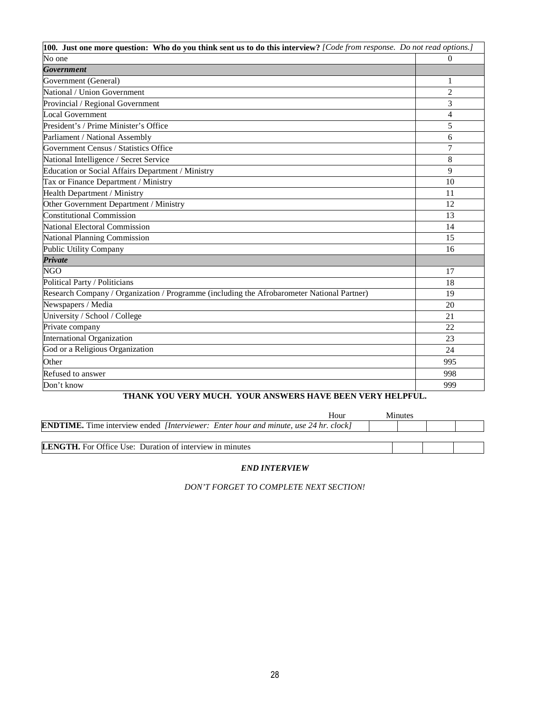| 100. Just one more question: Who do you think sent us to do this interview? [Code from response. Do not read options.] |                |
|------------------------------------------------------------------------------------------------------------------------|----------------|
| No one                                                                                                                 | 0              |
| <b>Government</b>                                                                                                      |                |
| Government (General)                                                                                                   | 1              |
| National / Union Government                                                                                            | $\overline{2}$ |
| Provincial / Regional Government                                                                                       | 3              |
| Local Government                                                                                                       | 4              |
| President's / Prime Minister's Office                                                                                  | 5              |
| Parliament / National Assembly                                                                                         | 6              |
| Government Census / Statistics Office                                                                                  | $\overline{7}$ |
| National Intelligence / Secret Service                                                                                 | 8              |
| Education or Social Affairs Department / Ministry                                                                      | 9              |
| Tax or Finance Department / Ministry                                                                                   | 10             |
| Health Department / Ministry                                                                                           | 11             |
| Other Government Department / Ministry                                                                                 | 12             |
| <b>Constitutional Commission</b>                                                                                       | 13             |
| <b>National Electoral Commission</b>                                                                                   | 14             |
| National Planning Commission                                                                                           | 15             |
| <b>Public Utility Company</b>                                                                                          | 16             |
| Private                                                                                                                |                |
| <b>NGO</b>                                                                                                             | 17             |
| Political Party / Politicians                                                                                          | 18             |
| Research Company / Organization / Programme (including the Afrobarometer National Partner)                             | 19             |
| Newspapers / Media                                                                                                     | 20             |
| University / School / College                                                                                          | 21             |
| Private company                                                                                                        | 22             |
| <b>International Organization</b>                                                                                      | 23             |
| God or a Religious Organization                                                                                        | 24             |
| Other                                                                                                                  | 995            |
| Refused to answer                                                                                                      | 998            |
| Don't know                                                                                                             | 999            |

# **THANK YOU VERY MUCH. YOUR ANSWERS HAVE BEEN VERY HELPFUL.**

| Hour                                                                                               | Minutes |  |
|----------------------------------------------------------------------------------------------------|---------|--|
| <b>ENDTIME.</b> Time interview ended <i>[Interviewer: Enter hour and minute, use 24 hr. clock]</i> |         |  |
|                                                                                                    |         |  |
| <b>LENGTH.</b> For Office Use: Duration of interview in minutes                                    |         |  |

## *END INTERVIEW*

*DON'T FORGET TO COMPLETE NEXT SECTION!*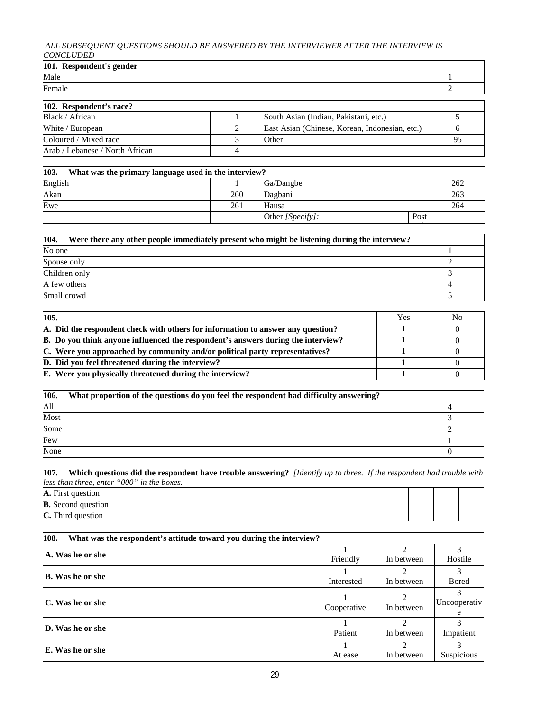#### *ALL SUBSEQUENT QUESTIONS SHOULD BE ANSWERED BY THE INTERVIEWER AFTER THE INTERVIEW IS CONCLUDED*

| 101. Respondent's gender |  |  |  |  |  |
|--------------------------|--|--|--|--|--|
| Male                     |  |  |  |  |  |
| $F_{\alpha m}$ ale       |  |  |  |  |  |

| 102. Respondent's race?         |  |                                                |    |  |  |  |
|---------------------------------|--|------------------------------------------------|----|--|--|--|
| Black / African                 |  | South Asian (Indian, Pakistani, etc.)          |    |  |  |  |
| White / European                |  | East Asian (Chinese, Korean, Indonesian, etc.) |    |  |  |  |
| Coloured / Mixed race           |  | Other                                          | 95 |  |  |  |
| Arab / Lebanese / North African |  |                                                |    |  |  |  |

| 103.<br>What was the primary language used in the interview? |     |                  |      |  |     |  |  |  |
|--------------------------------------------------------------|-----|------------------|------|--|-----|--|--|--|
| English                                                      |     | Ga/Dangbe        |      |  | 262 |  |  |  |
| Akan                                                         | 260 | Dagbani          |      |  | 263 |  |  |  |
| Ewe                                                          | 261 | Hausa            |      |  | 264 |  |  |  |
|                                                              |     | Other [Specify]: | Post |  |     |  |  |  |

\_\_\_\_\_\_\_\_\_\_\_\_\_\_\_\_\_\_\_\_\_\_\_

code

| 104.<br>Were there any other people immediately present who might be listening during the interview? |  |
|------------------------------------------------------------------------------------------------------|--|
| No one                                                                                               |  |
| Spouse only                                                                                          |  |
| Children only                                                                                        |  |
| A few others                                                                                         |  |
| Small crowd                                                                                          |  |

| 105.                                                                             |  | N <sub>0</sub> |
|----------------------------------------------------------------------------------|--|----------------|
| A. Did the respondent check with others for information to answer any question?  |  |                |
| B. Do you think anyone influenced the respondent's answers during the interview? |  |                |
| C. Were you approached by community and/or political party representatives?      |  |                |
| D. Did you feel threatened during the interview?                                 |  |                |
| <b>E.</b> Were you physically threatened during the interview?                   |  |                |

| 106. | What proportion of the questions do you feel the respondent had difficulty answering? |  |  |  |
|------|---------------------------------------------------------------------------------------|--|--|--|
| A11  |                                                                                       |  |  |  |
| Most |                                                                                       |  |  |  |
| Some |                                                                                       |  |  |  |
| Few  |                                                                                       |  |  |  |
| None |                                                                                       |  |  |  |

**107. Which questions did the respondent have trouble answering?** *[Identify up to three. If the respondent had trouble with less than three, enter "000" in the boxes.* **A.** First question  $\frac{1}{\sqrt{2}}$ 

| в<br>OF                                      |  |  |
|----------------------------------------------|--|--|
| $\sim$<br>$\overline{ }$<br>- 14<br>יי<br>n. |  |  |
|                                              |  |  |

| 108.<br>What was the respondent's attitude toward you during the interview? |             |            |                   |  |  |
|-----------------------------------------------------------------------------|-------------|------------|-------------------|--|--|
|                                                                             |             |            |                   |  |  |
| A. Was he or she                                                            | Friendly    | In between | Hostile           |  |  |
| <b>B.</b> Was he or she                                                     |             |            |                   |  |  |
|                                                                             | Interested  | In between | <b>Bored</b>      |  |  |
|                                                                             |             |            |                   |  |  |
| C. Was he or she                                                            | Cooperative | In between | Uncooperativ      |  |  |
|                                                                             |             |            | e                 |  |  |
| D. Was he or she                                                            |             |            |                   |  |  |
|                                                                             | Patient     | In between | Impatient         |  |  |
|                                                                             |             |            | 2                 |  |  |
| <b>E.</b> Was he or she                                                     | At ease     | In between | <b>Suspicious</b> |  |  |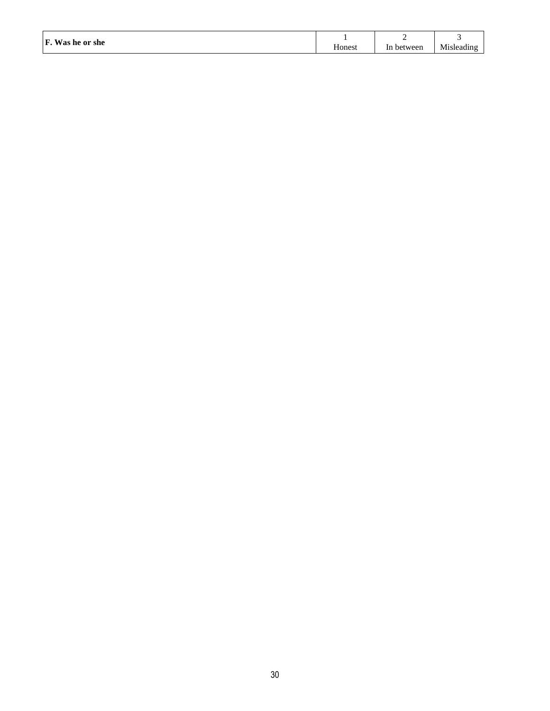|  | F. Was he or she<br>$\sim$ | Honest | between<br>1n | Misleading |
|--|----------------------------|--------|---------------|------------|
|--|----------------------------|--------|---------------|------------|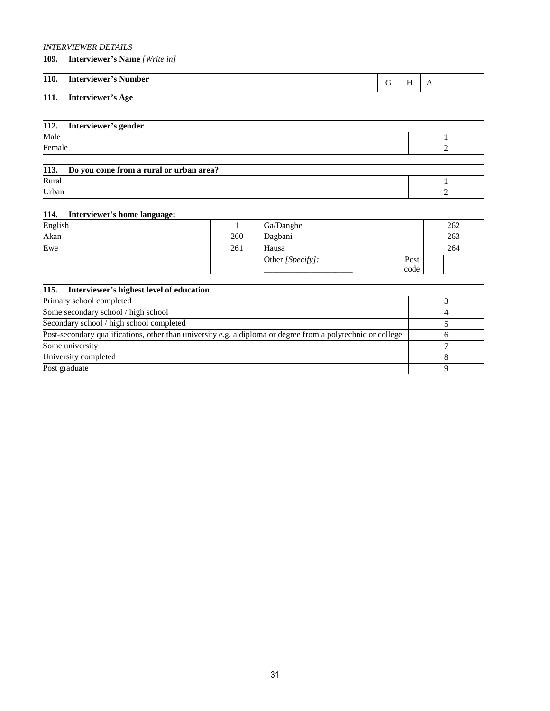|      | <b>INTERVIEWER DETAILS</b>           |   |   |   |  |
|------|--------------------------------------|---|---|---|--|
| 109. | <b>Interviewer's Name</b> [Write in] |   |   |   |  |
| 110. | <b>Interviewer's Number</b>          | G | H | А |  |
| 111. | <b>Interviewer's Age</b>             |   |   |   |  |
|      |                                      |   |   |   |  |

| 112.<br>Interviewer's gender |  |
|------------------------------|--|
| Male                         |  |
| Female                       |  |

| 113.<br>Do you come from a rural or urban area? |  |
|-------------------------------------------------|--|
| Rural                                           |  |
| Urban                                           |  |

| 114.<br>Interviewer's home language: |     |                  |      |     |  |
|--------------------------------------|-----|------------------|------|-----|--|
| English                              |     | Ga/Dangbe        |      | 262 |  |
| Akan                                 | 260 | Dagbani          |      | 263 |  |
| Ewe                                  | 261 | Hausa            |      | 264 |  |
|                                      |     | Other [Specify]: | Post |     |  |
|                                      |     |                  | code |     |  |

| 115. Interviewer's highest level of education                                                               |  |
|-------------------------------------------------------------------------------------------------------------|--|
| Primary school completed                                                                                    |  |
| Some secondary school / high school                                                                         |  |
| Secondary school / high school completed                                                                    |  |
| Post-secondary qualifications, other than university e.g. a diploma or degree from a polytechnic or college |  |
| Some university                                                                                             |  |
| University completed                                                                                        |  |
| Post graduate                                                                                               |  |